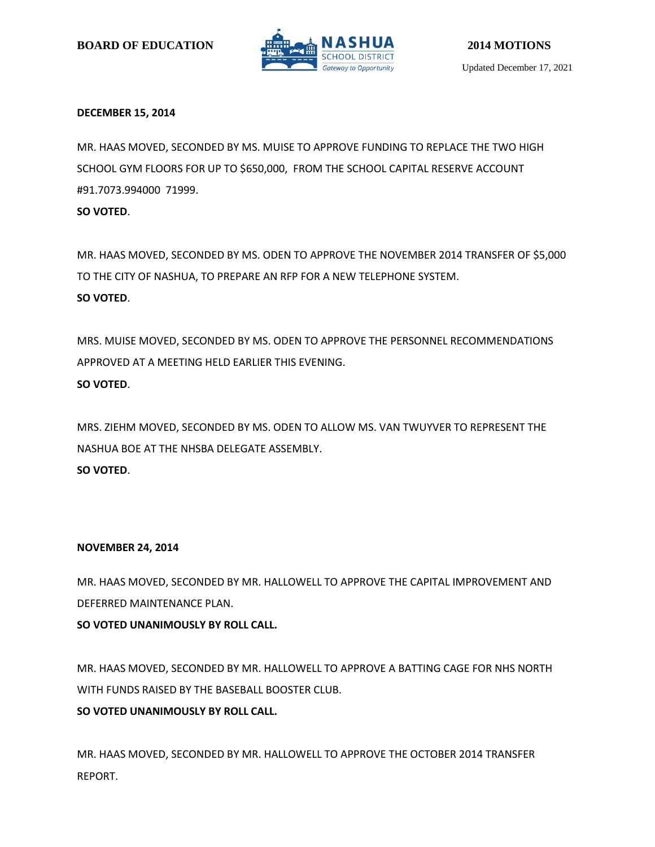

# **DECEMBER 15, 2014**

MR. HAAS MOVED, SECONDED BY MS. MUISE TO APPROVE FUNDING TO REPLACE THE TWO HIGH SCHOOL GYM FLOORS FOR UP TO \$650,000, FROM THE SCHOOL CAPITAL RESERVE ACCOUNT #91.7073.994000 71999.

**SO VOTED**.

MR. HAAS MOVED, SECONDED BY MS. ODEN TO APPROVE THE NOVEMBER 2014 TRANSFER OF \$5,000 TO THE CITY OF NASHUA, TO PREPARE AN RFP FOR A NEW TELEPHONE SYSTEM. **SO VOTED**.

MRS. MUISE MOVED, SECONDED BY MS. ODEN TO APPROVE THE PERSONNEL RECOMMENDATIONS APPROVED AT A MEETING HELD EARLIER THIS EVENING. **SO VOTED**.

MRS. ZIEHM MOVED, SECONDED BY MS. ODEN TO ALLOW MS. VAN TWUYVER TO REPRESENT THE NASHUA BOE AT THE NHSBA DELEGATE ASSEMBLY. **SO VOTED**.

# **NOVEMBER 24, 2014**

MR. HAAS MOVED, SECONDED BY MR. HALLOWELL TO APPROVE THE CAPITAL IMPROVEMENT AND DEFERRED MAINTENANCE PLAN.

**SO VOTED UNANIMOUSLY BY ROLL CALL.**

MR. HAAS MOVED, SECONDED BY MR. HALLOWELL TO APPROVE A BATTING CAGE FOR NHS NORTH WITH FUNDS RAISED BY THE BASEBALL BOOSTER CLUB.

# **SO VOTED UNANIMOUSLY BY ROLL CALL.**

MR. HAAS MOVED, SECONDED BY MR. HALLOWELL TO APPROVE THE OCTOBER 2014 TRANSFER REPORT.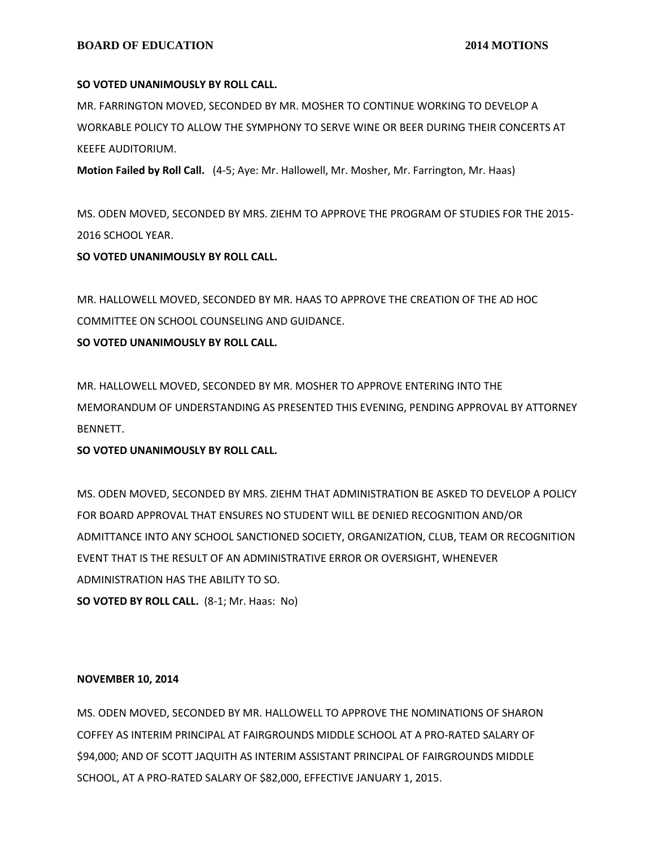### **BOARD OF EDUCATION** 2014 MOTIONS

## **SO VOTED UNANIMOUSLY BY ROLL CALL.**

MR. FARRINGTON MOVED, SECONDED BY MR. MOSHER TO CONTINUE WORKING TO DEVELOP A WORKABLE POLICY TO ALLOW THE SYMPHONY TO SERVE WINE OR BEER DURING THEIR CONCERTS AT KEEFE AUDITORIUM.

**Motion Failed by Roll Call.** (4-5; Aye: Mr. Hallowell, Mr. Mosher, Mr. Farrington, Mr. Haas)

MS. ODEN MOVED, SECONDED BY MRS. ZIEHM TO APPROVE THE PROGRAM OF STUDIES FOR THE 2015- 2016 SCHOOL YEAR.

**SO VOTED UNANIMOUSLY BY ROLL CALL.**

MR. HALLOWELL MOVED, SECONDED BY MR. HAAS TO APPROVE THE CREATION OF THE AD HOC COMMITTEE ON SCHOOL COUNSELING AND GUIDANCE.

**SO VOTED UNANIMOUSLY BY ROLL CALL.**

MR. HALLOWELL MOVED, SECONDED BY MR. MOSHER TO APPROVE ENTERING INTO THE MEMORANDUM OF UNDERSTANDING AS PRESENTED THIS EVENING, PENDING APPROVAL BY ATTORNEY BENNETT.

# **SO VOTED UNANIMOUSLY BY ROLL CALL.**

MS. ODEN MOVED, SECONDED BY MRS. ZIEHM THAT ADMINISTRATION BE ASKED TO DEVELOP A POLICY FOR BOARD APPROVAL THAT ENSURES NO STUDENT WILL BE DENIED RECOGNITION AND/OR ADMITTANCE INTO ANY SCHOOL SANCTIONED SOCIETY, ORGANIZATION, CLUB, TEAM OR RECOGNITION EVENT THAT IS THE RESULT OF AN ADMINISTRATIVE ERROR OR OVERSIGHT, WHENEVER ADMINISTRATION HAS THE ABILITY TO SO. **SO VOTED BY ROLL CALL.** (8-1; Mr. Haas: No)

#### **NOVEMBER 10, 2014**

MS. ODEN MOVED, SECONDED BY MR. HALLOWELL TO APPROVE THE NOMINATIONS OF SHARON COFFEY AS INTERIM PRINCIPAL AT FAIRGROUNDS MIDDLE SCHOOL AT A PRO-RATED SALARY OF \$94,000; AND OF SCOTT JAQUITH AS INTERIM ASSISTANT PRINCIPAL OF FAIRGROUNDS MIDDLE SCHOOL, AT A PRO-RATED SALARY OF \$82,000, EFFECTIVE JANUARY 1, 2015.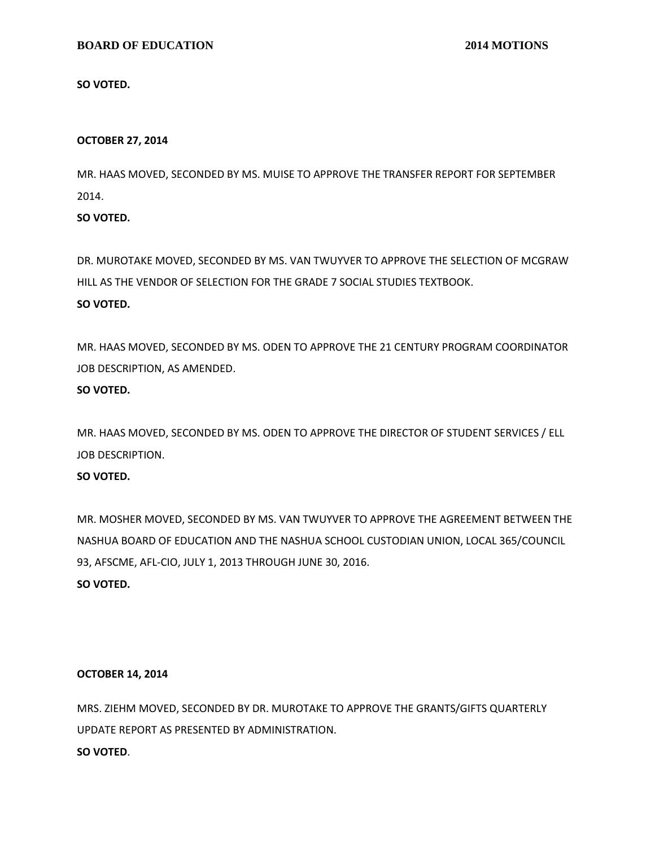### **BOARD OF EDUCATION** 2014 MOTIONS

**SO VOTED.**

#### **OCTOBER 27, 2014**

MR. HAAS MOVED, SECONDED BY MS. MUISE TO APPROVE THE TRANSFER REPORT FOR SEPTEMBER 2014.

**SO VOTED.**

DR. MUROTAKE MOVED, SECONDED BY MS. VAN TWUYVER TO APPROVE THE SELECTION OF MCGRAW HILL AS THE VENDOR OF SELECTION FOR THE GRADE 7 SOCIAL STUDIES TEXTBOOK. **SO VOTED.**

MR. HAAS MOVED, SECONDED BY MS. ODEN TO APPROVE THE 21 CENTURY PROGRAM COORDINATOR JOB DESCRIPTION, AS AMENDED.

### **SO VOTED.**

MR. HAAS MOVED, SECONDED BY MS. ODEN TO APPROVE THE DIRECTOR OF STUDENT SERVICES / ELL JOB DESCRIPTION.

# **SO VOTED.**

MR. MOSHER MOVED, SECONDED BY MS. VAN TWUYVER TO APPROVE THE AGREEMENT BETWEEN THE NASHUA BOARD OF EDUCATION AND THE NASHUA SCHOOL CUSTODIAN UNION, LOCAL 365/COUNCIL 93, AFSCME, AFL-CIO, JULY 1, 2013 THROUGH JUNE 30, 2016. **SO VOTED.**

#### **OCTOBER 14, 2014**

MRS. ZIEHM MOVED, SECONDED BY DR. MUROTAKE TO APPROVE THE GRANTS/GIFTS QUARTERLY UPDATE REPORT AS PRESENTED BY ADMINISTRATION. **SO VOTED**.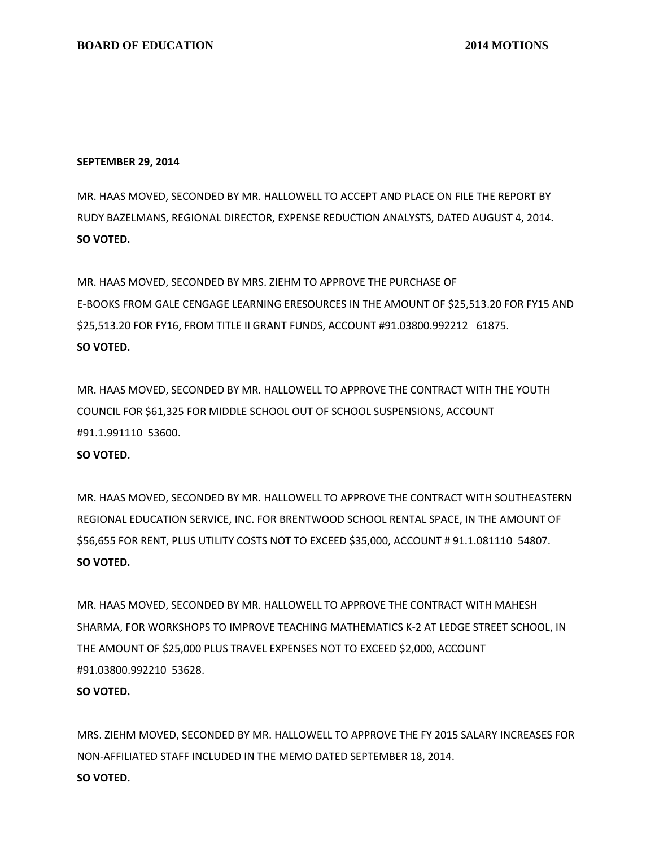#### **SEPTEMBER 29, 2014**

MR. HAAS MOVED, SECONDED BY MR. HALLOWELL TO ACCEPT AND PLACE ON FILE THE REPORT BY RUDY BAZELMANS, REGIONAL DIRECTOR, EXPENSE REDUCTION ANALYSTS, DATED AUGUST 4, 2014. **SO VOTED.**

MR. HAAS MOVED, SECONDED BY MRS. ZIEHM TO APPROVE THE PURCHASE OF E-BOOKS FROM GALE CENGAGE LEARNING ERESOURCES IN THE AMOUNT OF \$25,513.20 FOR FY15 AND \$25,513.20 FOR FY16, FROM TITLE II GRANT FUNDS, ACCOUNT #91.03800.992212 61875. **SO VOTED.**

MR. HAAS MOVED, SECONDED BY MR. HALLOWELL TO APPROVE THE CONTRACT WITH THE YOUTH COUNCIL FOR \$61,325 FOR MIDDLE SCHOOL OUT OF SCHOOL SUSPENSIONS, ACCOUNT #91.1.991110 53600.

### **SO VOTED.**

MR. HAAS MOVED, SECONDED BY MR. HALLOWELL TO APPROVE THE CONTRACT WITH SOUTHEASTERN REGIONAL EDUCATION SERVICE, INC. FOR BRENTWOOD SCHOOL RENTAL SPACE, IN THE AMOUNT OF \$56,655 FOR RENT, PLUS UTILITY COSTS NOT TO EXCEED \$35,000, ACCOUNT # 91.1.081110 54807. **SO VOTED.**

MR. HAAS MOVED, SECONDED BY MR. HALLOWELL TO APPROVE THE CONTRACT WITH MAHESH SHARMA, FOR WORKSHOPS TO IMPROVE TEACHING MATHEMATICS K-2 AT LEDGE STREET SCHOOL, IN THE AMOUNT OF \$25,000 PLUS TRAVEL EXPENSES NOT TO EXCEED \$2,000, ACCOUNT #91.03800.992210 53628.

#### **SO VOTED.**

MRS. ZIEHM MOVED, SECONDED BY MR. HALLOWELL TO APPROVE THE FY 2015 SALARY INCREASES FOR NON-AFFILIATED STAFF INCLUDED IN THE MEMO DATED SEPTEMBER 18, 2014. **SO VOTED.**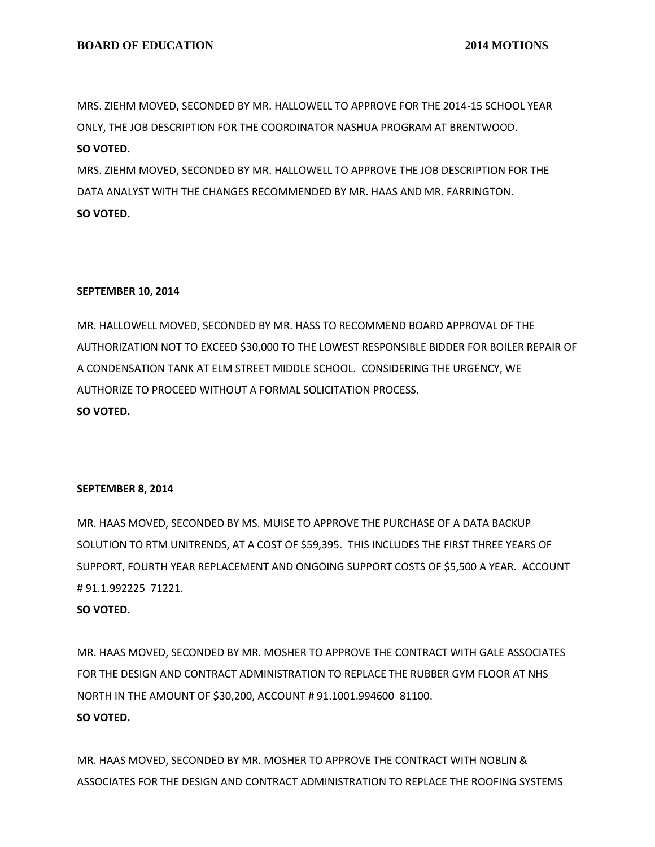MRS. ZIEHM MOVED, SECONDED BY MR. HALLOWELL TO APPROVE FOR THE 2014-15 SCHOOL YEAR ONLY, THE JOB DESCRIPTION FOR THE COORDINATOR NASHUA PROGRAM AT BRENTWOOD. **SO VOTED.**

MRS. ZIEHM MOVED, SECONDED BY MR. HALLOWELL TO APPROVE THE JOB DESCRIPTION FOR THE DATA ANALYST WITH THE CHANGES RECOMMENDED BY MR. HAAS AND MR. FARRINGTON. **SO VOTED.**

### **SEPTEMBER 10, 2014**

MR. HALLOWELL MOVED, SECONDED BY MR. HASS TO RECOMMEND BOARD APPROVAL OF THE AUTHORIZATION NOT TO EXCEED \$30,000 TO THE LOWEST RESPONSIBLE BIDDER FOR BOILER REPAIR OF A CONDENSATION TANK AT ELM STREET MIDDLE SCHOOL. CONSIDERING THE URGENCY, WE AUTHORIZE TO PROCEED WITHOUT A FORMAL SOLICITATION PROCESS. **SO VOTED.**

#### **SEPTEMBER 8, 2014**

MR. HAAS MOVED, SECONDED BY MS. MUISE TO APPROVE THE PURCHASE OF A DATA BACKUP SOLUTION TO RTM UNITRENDS, AT A COST OF \$59,395. THIS INCLUDES THE FIRST THREE YEARS OF SUPPORT, FOURTH YEAR REPLACEMENT AND ONGOING SUPPORT COSTS OF \$5,500 A YEAR. ACCOUNT # 91.1.992225 71221.

#### **SO VOTED.**

MR. HAAS MOVED, SECONDED BY MR. MOSHER TO APPROVE THE CONTRACT WITH GALE ASSOCIATES FOR THE DESIGN AND CONTRACT ADMINISTRATION TO REPLACE THE RUBBER GYM FLOOR AT NHS NORTH IN THE AMOUNT OF \$30,200, ACCOUNT # 91.1001.994600 81100. **SO VOTED.**

MR. HAAS MOVED, SECONDED BY MR. MOSHER TO APPROVE THE CONTRACT WITH NOBLIN & ASSOCIATES FOR THE DESIGN AND CONTRACT ADMINISTRATION TO REPLACE THE ROOFING SYSTEMS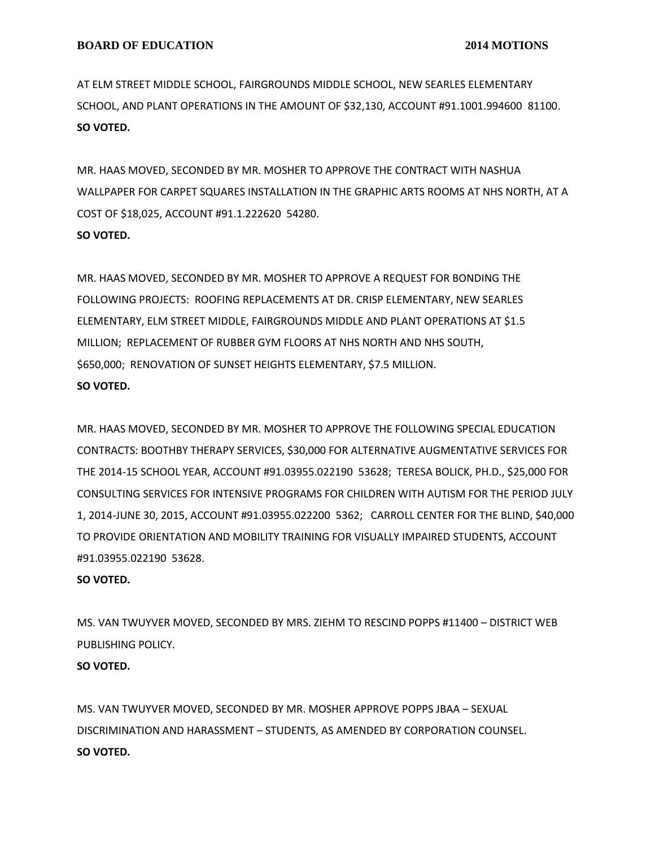AT ELM STREET MIDDLE SCHOOL, FAIRGROUNDS MIDDLE SCHOOL, NEW SEARLES ELEMENTARY SCHOOL, AND PLANT OPERATIONS IN THE AMOUNT OF \$32,130, ACCOUNT #91.1001.994600 81100. **SO VOTED.**

MR. HAAS MOVED, SECONDED BY MR. MOSHER TO APPROVE THE CONTRACT WITH NASHUA WALLPAPER FOR CARPET SQUARES INSTALLATION IN THE GRAPHIC ARTS ROOMS AT NHS NORTH, AT A COST OF \$18,025, ACCOUNT #91.1.222620 54280.

# **SO VOTED.**

MR. HAAS MOVED, SECONDED BY MR. MOSHER TO APPROVE A REQUEST FOR BONDING THE FOLLOWING PROJECTS: ROOFING REPLACEMENTS AT DR. CRISP ELEMENTARY, NEW SEARLES ELEMENTARY, ELM STREET MIDDLE, FAIRGROUNDS MIDDLE AND PLANT OPERATIONS AT \$1.5 MILLION; REPLACEMENT OF RUBBER GYM FLOORS AT NHS NORTH AND NHS SOUTH, \$650,000; RENOVATION OF SUNSET HEIGHTS ELEMENTARY, \$7.5 MILLION. **SO VOTED.**

MR. HAAS MOVED, SECONDED BY MR. MOSHER TO APPROVE THE FOLLOWING SPECIAL EDUCATION CONTRACTS: BOOTHBY THERAPY SERVICES, \$30,000 FOR ALTERNATIVE AUGMENTATIVE SERVICES FOR THE 2014-15 SCHOOL YEAR, ACCOUNT #91.03955.022190 53628; TERESA BOLICK, PH.D., \$25,000 FOR CONSULTING SERVICES FOR INTENSIVE PROGRAMS FOR CHILDREN WITH AUTISM FOR THE PERIOD JULY 1, 2014-JUNE 30, 2015, ACCOUNT #91.03955.022200 5362; CARROLL CENTER FOR THE BLIND, \$40,000 TO PROVIDE ORIENTATION AND MOBILITY TRAINING FOR VISUALLY IMPAIRED STUDENTS, ACCOUNT #91.03955.022190 53628.

# **SO VOTED.**

MS. VAN TWUYVER MOVED, SECONDED BY MRS. ZIEHM TO RESCIND POPPS #11400 – DISTRICT WEB PUBLISHING POLICY.

# **SO VOTED.**

MS. VAN TWUYVER MOVED, SECONDED BY MR. MOSHER APPROVE POPPS JBAA – SEXUAL DISCRIMINATION AND HARASSMENT – STUDENTS, AS AMENDED BY CORPORATION COUNSEL. **SO VOTED.**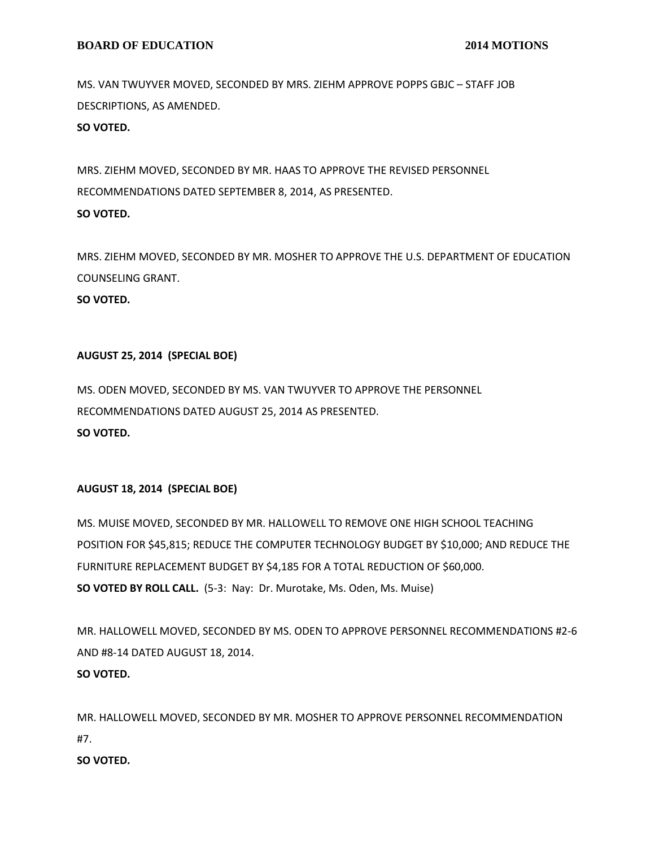MS. VAN TWUYVER MOVED, SECONDED BY MRS. ZIEHM APPROVE POPPS GBJC – STAFF JOB DESCRIPTIONS, AS AMENDED.

**SO VOTED.**

MRS. ZIEHM MOVED, SECONDED BY MR. HAAS TO APPROVE THE REVISED PERSONNEL RECOMMENDATIONS DATED SEPTEMBER 8, 2014, AS PRESENTED. **SO VOTED.**

MRS. ZIEHM MOVED, SECONDED BY MR. MOSHER TO APPROVE THE U.S. DEPARTMENT OF EDUCATION COUNSELING GRANT. **SO VOTED.**

# **AUGUST 25, 2014 (SPECIAL BOE)**

MS. ODEN MOVED, SECONDED BY MS. VAN TWUYVER TO APPROVE THE PERSONNEL RECOMMENDATIONS DATED AUGUST 25, 2014 AS PRESENTED. **SO VOTED.**

# **AUGUST 18, 2014 (SPECIAL BOE)**

MS. MUISE MOVED, SECONDED BY MR. HALLOWELL TO REMOVE ONE HIGH SCHOOL TEACHING POSITION FOR \$45,815; REDUCE THE COMPUTER TECHNOLOGY BUDGET BY \$10,000; AND REDUCE THE FURNITURE REPLACEMENT BUDGET BY \$4,185 FOR A TOTAL REDUCTION OF \$60,000. **SO VOTED BY ROLL CALL.** (5-3: Nay: Dr. Murotake, Ms. Oden, Ms. Muise)

MR. HALLOWELL MOVED, SECONDED BY MS. ODEN TO APPROVE PERSONNEL RECOMMENDATIONS #2-6 AND #8-14 DATED AUGUST 18, 2014. **SO VOTED.**

MR. HALLOWELL MOVED, SECONDED BY MR. MOSHER TO APPROVE PERSONNEL RECOMMENDATION #7.

# **SO VOTED.**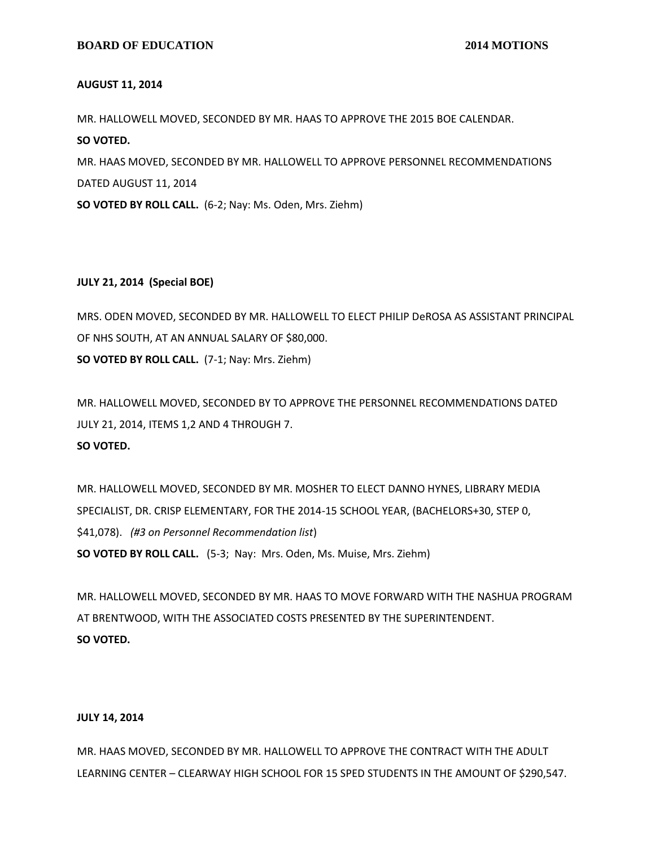#### **AUGUST 11, 2014**

MR. HALLOWELL MOVED, SECONDED BY MR. HAAS TO APPROVE THE 2015 BOE CALENDAR. **SO VOTED.** MR. HAAS MOVED, SECONDED BY MR. HALLOWELL TO APPROVE PERSONNEL RECOMMENDATIONS DATED AUGUST 11, 2014

**SO VOTED BY ROLL CALL.** (6-2; Nay: Ms. Oden, Mrs. Ziehm)

#### **JULY 21, 2014 (Special BOE)**

MRS. ODEN MOVED, SECONDED BY MR. HALLOWELL TO ELECT PHILIP DeROSA AS ASSISTANT PRINCIPAL OF NHS SOUTH, AT AN ANNUAL SALARY OF \$80,000. **SO VOTED BY ROLL CALL.** (7-1; Nay: Mrs. Ziehm)

MR. HALLOWELL MOVED, SECONDED BY TO APPROVE THE PERSONNEL RECOMMENDATIONS DATED JULY 21, 2014, ITEMS 1,2 AND 4 THROUGH 7. **SO VOTED.**

MR. HALLOWELL MOVED, SECONDED BY MR. MOSHER TO ELECT DANNO HYNES, LIBRARY MEDIA SPECIALIST, DR. CRISP ELEMENTARY, FOR THE 2014-15 SCHOOL YEAR, (BACHELORS+30, STEP 0, \$41,078). *(#3 on Personnel Recommendation list*) **SO VOTED BY ROLL CALL.** (5-3; Nay: Mrs. Oden, Ms. Muise, Mrs. Ziehm)

MR. HALLOWELL MOVED, SECONDED BY MR. HAAS TO MOVE FORWARD WITH THE NASHUA PROGRAM AT BRENTWOOD, WITH THE ASSOCIATED COSTS PRESENTED BY THE SUPERINTENDENT. **SO VOTED.**

#### **JULY 14, 2014**

MR. HAAS MOVED, SECONDED BY MR. HALLOWELL TO APPROVE THE CONTRACT WITH THE ADULT LEARNING CENTER – CLEARWAY HIGH SCHOOL FOR 15 SPED STUDENTS IN THE AMOUNT OF \$290,547.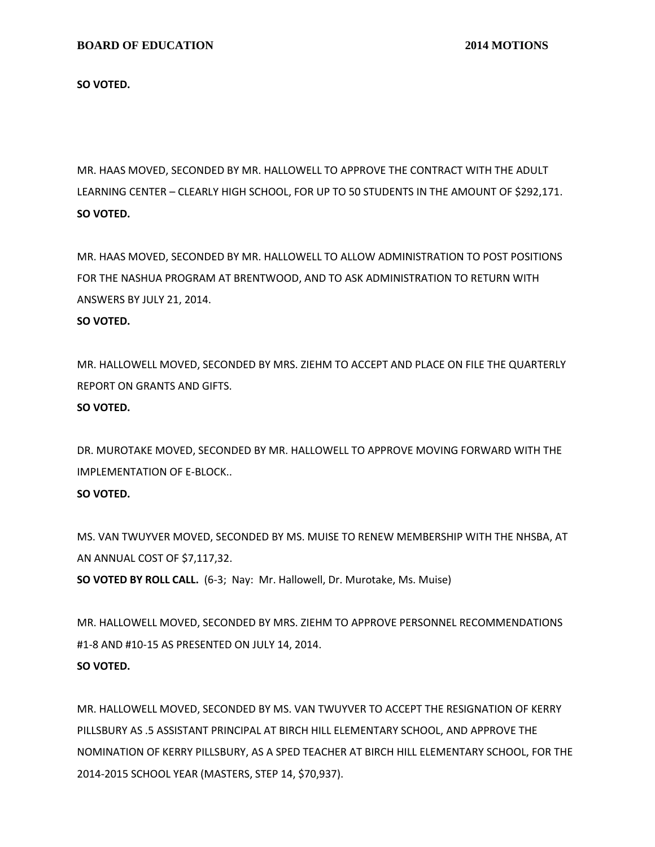**SO VOTED.**

MR. HAAS MOVED, SECONDED BY MR. HALLOWELL TO APPROVE THE CONTRACT WITH THE ADULT LEARNING CENTER – CLEARLY HIGH SCHOOL, FOR UP TO 50 STUDENTS IN THE AMOUNT OF \$292,171. **SO VOTED.**

MR. HAAS MOVED, SECONDED BY MR. HALLOWELL TO ALLOW ADMINISTRATION TO POST POSITIONS FOR THE NASHUA PROGRAM AT BRENTWOOD, AND TO ASK ADMINISTRATION TO RETURN WITH ANSWERS BY JULY 21, 2014.

#### **SO VOTED.**

MR. HALLOWELL MOVED, SECONDED BY MRS. ZIEHM TO ACCEPT AND PLACE ON FILE THE QUARTERLY REPORT ON GRANTS AND GIFTS.

## **SO VOTED.**

DR. MUROTAKE MOVED, SECONDED BY MR. HALLOWELL TO APPROVE MOVING FORWARD WITH THE IMPLEMENTATION OF E-BLOCK..

# **SO VOTED.**

MS. VAN TWUYVER MOVED, SECONDED BY MS. MUISE TO RENEW MEMBERSHIP WITH THE NHSBA, AT AN ANNUAL COST OF \$7,117,32.

**SO VOTED BY ROLL CALL.** (6-3; Nay: Mr. Hallowell, Dr. Murotake, Ms. Muise)

MR. HALLOWELL MOVED, SECONDED BY MRS. ZIEHM TO APPROVE PERSONNEL RECOMMENDATIONS #1-8 AND #10-15 AS PRESENTED ON JULY 14, 2014. **SO VOTED.**

MR. HALLOWELL MOVED, SECONDED BY MS. VAN TWUYVER TO ACCEPT THE RESIGNATION OF KERRY PILLSBURY AS .5 ASSISTANT PRINCIPAL AT BIRCH HILL ELEMENTARY SCHOOL, AND APPROVE THE NOMINATION OF KERRY PILLSBURY, AS A SPED TEACHER AT BIRCH HILL ELEMENTARY SCHOOL, FOR THE 2014-2015 SCHOOL YEAR (MASTERS, STEP 14, \$70,937).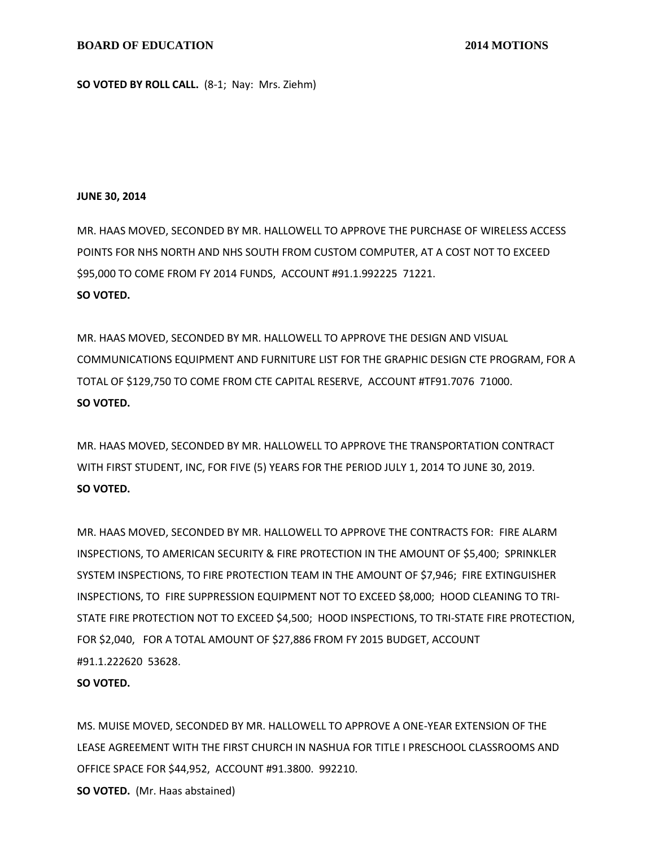**SO VOTED BY ROLL CALL.** (8-1; Nay: Mrs. Ziehm)

#### **JUNE 30, 2014**

MR. HAAS MOVED, SECONDED BY MR. HALLOWELL TO APPROVE THE PURCHASE OF WIRELESS ACCESS POINTS FOR NHS NORTH AND NHS SOUTH FROM CUSTOM COMPUTER, AT A COST NOT TO EXCEED \$95,000 TO COME FROM FY 2014 FUNDS, ACCOUNT #91.1.992225 71221. **SO VOTED.**

MR. HAAS MOVED, SECONDED BY MR. HALLOWELL TO APPROVE THE DESIGN AND VISUAL COMMUNICATIONS EQUIPMENT AND FURNITURE LIST FOR THE GRAPHIC DESIGN CTE PROGRAM, FOR A TOTAL OF \$129,750 TO COME FROM CTE CAPITAL RESERVE, ACCOUNT #TF91.7076 71000. **SO VOTED.**

MR. HAAS MOVED, SECONDED BY MR. HALLOWELL TO APPROVE THE TRANSPORTATION CONTRACT WITH FIRST STUDENT, INC, FOR FIVE (5) YEARS FOR THE PERIOD JULY 1, 2014 TO JUNE 30, 2019. **SO VOTED.**

MR. HAAS MOVED, SECONDED BY MR. HALLOWELL TO APPROVE THE CONTRACTS FOR: FIRE ALARM INSPECTIONS, TO AMERICAN SECURITY & FIRE PROTECTION IN THE AMOUNT OF \$5,400; SPRINKLER SYSTEM INSPECTIONS, TO FIRE PROTECTION TEAM IN THE AMOUNT OF \$7,946; FIRE EXTINGUISHER INSPECTIONS, TO FIRE SUPPRESSION EQUIPMENT NOT TO EXCEED \$8,000; HOOD CLEANING TO TRI-STATE FIRE PROTECTION NOT TO EXCEED \$4,500; HOOD INSPECTIONS, TO TRI-STATE FIRE PROTECTION, FOR \$2,040, FOR A TOTAL AMOUNT OF \$27,886 FROM FY 2015 BUDGET, ACCOUNT #91.1.222620 53628.

### **SO VOTED.**

MS. MUISE MOVED, SECONDED BY MR. HALLOWELL TO APPROVE A ONE-YEAR EXTENSION OF THE LEASE AGREEMENT WITH THE FIRST CHURCH IN NASHUA FOR TITLE I PRESCHOOL CLASSROOMS AND OFFICE SPACE FOR \$44,952, ACCOUNT #91.3800. 992210.

**SO VOTED.** (Mr. Haas abstained)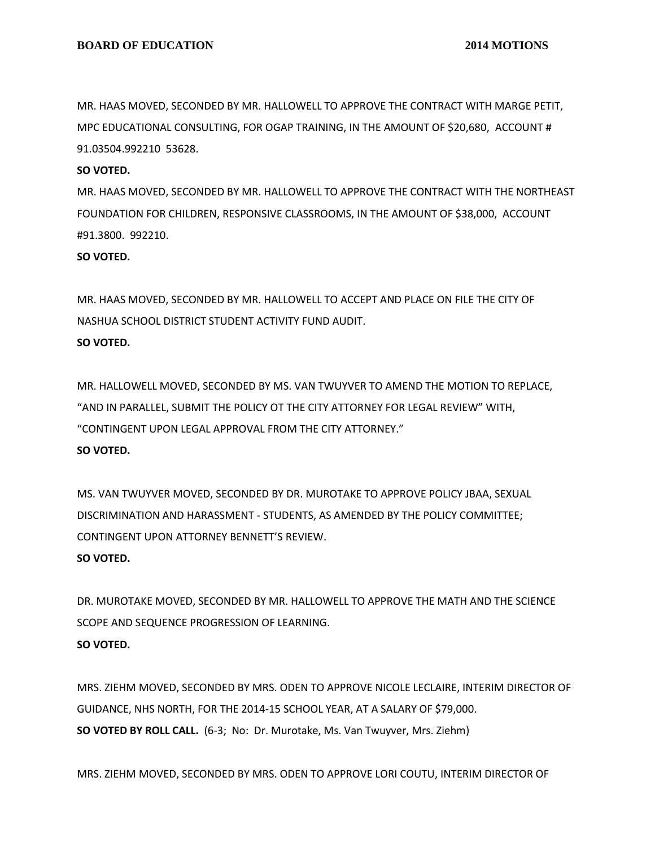MR. HAAS MOVED, SECONDED BY MR. HALLOWELL TO APPROVE THE CONTRACT WITH MARGE PETIT, MPC EDUCATIONAL CONSULTING, FOR OGAP TRAINING, IN THE AMOUNT OF \$20,680, ACCOUNT # 91.03504.992210 53628.

### **SO VOTED.**

MR. HAAS MOVED, SECONDED BY MR. HALLOWELL TO APPROVE THE CONTRACT WITH THE NORTHEAST FOUNDATION FOR CHILDREN, RESPONSIVE CLASSROOMS, IN THE AMOUNT OF \$38,000, ACCOUNT #91.3800. 992210.

**SO VOTED.**

MR. HAAS MOVED, SECONDED BY MR. HALLOWELL TO ACCEPT AND PLACE ON FILE THE CITY OF NASHUA SCHOOL DISTRICT STUDENT ACTIVITY FUND AUDIT. **SO VOTED.**

MR. HALLOWELL MOVED, SECONDED BY MS. VAN TWUYVER TO AMEND THE MOTION TO REPLACE, "AND IN PARALLEL, SUBMIT THE POLICY OT THE CITY ATTORNEY FOR LEGAL REVIEW" WITH, "CONTINGENT UPON LEGAL APPROVAL FROM THE CITY ATTORNEY." **SO VOTED.**

MS. VAN TWUYVER MOVED, SECONDED BY DR. MUROTAKE TO APPROVE POLICY JBAA, SEXUAL DISCRIMINATION AND HARASSMENT - STUDENTS, AS AMENDED BY THE POLICY COMMITTEE; CONTINGENT UPON ATTORNEY BENNETT'S REVIEW.

# **SO VOTED.**

DR. MUROTAKE MOVED, SECONDED BY MR. HALLOWELL TO APPROVE THE MATH AND THE SCIENCE SCOPE AND SEQUENCE PROGRESSION OF LEARNING. **SO VOTED.**

MRS. ZIEHM MOVED, SECONDED BY MRS. ODEN TO APPROVE NICOLE LECLAIRE, INTERIM DIRECTOR OF GUIDANCE, NHS NORTH, FOR THE 2014-15 SCHOOL YEAR, AT A SALARY OF \$79,000. **SO VOTED BY ROLL CALL.** (6-3; No: Dr. Murotake, Ms. Van Twuyver, Mrs. Ziehm)

MRS. ZIEHM MOVED, SECONDED BY MRS. ODEN TO APPROVE LORI COUTU, INTERIM DIRECTOR OF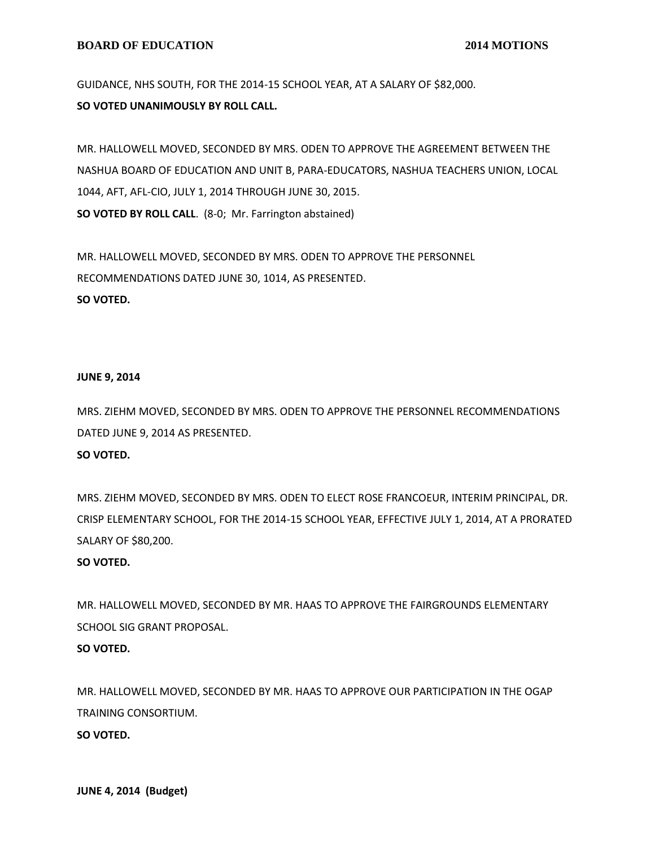### **BOARD OF EDUCATION** 2014 MOTIONS

GUIDANCE, NHS SOUTH, FOR THE 2014-15 SCHOOL YEAR, AT A SALARY OF \$82,000. **SO VOTED UNANIMOUSLY BY ROLL CALL.**

MR. HALLOWELL MOVED, SECONDED BY MRS. ODEN TO APPROVE THE AGREEMENT BETWEEN THE NASHUA BOARD OF EDUCATION AND UNIT B, PARA-EDUCATORS, NASHUA TEACHERS UNION, LOCAL 1044, AFT, AFL-CIO, JULY 1, 2014 THROUGH JUNE 30, 2015. **SO VOTED BY ROLL CALL**. (8-0; Mr. Farrington abstained)

MR. HALLOWELL MOVED, SECONDED BY MRS. ODEN TO APPROVE THE PERSONNEL RECOMMENDATIONS DATED JUNE 30, 1014, AS PRESENTED. **SO VOTED.**

### **JUNE 9, 2014**

MRS. ZIEHM MOVED, SECONDED BY MRS. ODEN TO APPROVE THE PERSONNEL RECOMMENDATIONS DATED JUNE 9, 2014 AS PRESENTED.

# **SO VOTED.**

MRS. ZIEHM MOVED, SECONDED BY MRS. ODEN TO ELECT ROSE FRANCOEUR, INTERIM PRINCIPAL, DR. CRISP ELEMENTARY SCHOOL, FOR THE 2014-15 SCHOOL YEAR, EFFECTIVE JULY 1, 2014, AT A PRORATED SALARY OF \$80,200.

#### **SO VOTED.**

MR. HALLOWELL MOVED, SECONDED BY MR. HAAS TO APPROVE THE FAIRGROUNDS ELEMENTARY SCHOOL SIG GRANT PROPOSAL.

# **SO VOTED.**

MR. HALLOWELL MOVED, SECONDED BY MR. HAAS TO APPROVE OUR PARTICIPATION IN THE OGAP TRAINING CONSORTIUM.

**SO VOTED.**

**JUNE 4, 2014 (Budget)**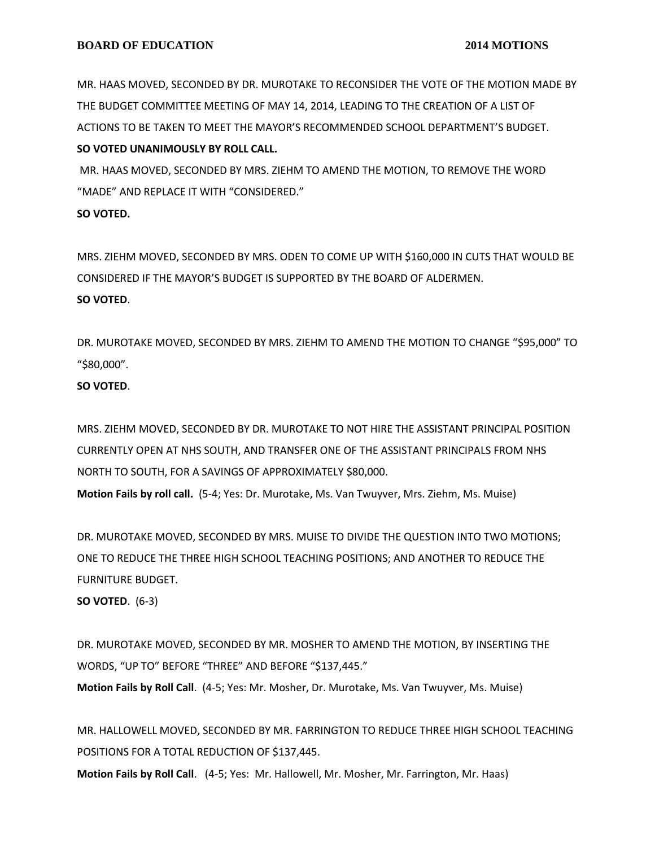MR. HAAS MOVED, SECONDED BY DR. MUROTAKE TO RECONSIDER THE VOTE OF THE MOTION MADE BY THE BUDGET COMMITTEE MEETING OF MAY 14, 2014, LEADING TO THE CREATION OF A LIST OF ACTIONS TO BE TAKEN TO MEET THE MAYOR'S RECOMMENDED SCHOOL DEPARTMENT'S BUDGET. **SO VOTED UNANIMOUSLY BY ROLL CALL.**

MR. HAAS MOVED, SECONDED BY MRS. ZIEHM TO AMEND THE MOTION, TO REMOVE THE WORD "MADE" AND REPLACE IT WITH "CONSIDERED."

# **SO VOTED.**

MRS. ZIEHM MOVED, SECONDED BY MRS. ODEN TO COME UP WITH \$160,000 IN CUTS THAT WOULD BE CONSIDERED IF THE MAYOR'S BUDGET IS SUPPORTED BY THE BOARD OF ALDERMEN. **SO VOTED**.

DR. MUROTAKE MOVED, SECONDED BY MRS. ZIEHM TO AMEND THE MOTION TO CHANGE "\$95,000" TO "\$80,000".

# **SO VOTED**.

MRS. ZIEHM MOVED, SECONDED BY DR. MUROTAKE TO NOT HIRE THE ASSISTANT PRINCIPAL POSITION CURRENTLY OPEN AT NHS SOUTH, AND TRANSFER ONE OF THE ASSISTANT PRINCIPALS FROM NHS NORTH TO SOUTH, FOR A SAVINGS OF APPROXIMATELY \$80,000.

**Motion Fails by roll call.** (5-4; Yes: Dr. Murotake, Ms. Van Twuyver, Mrs. Ziehm, Ms. Muise)

DR. MUROTAKE MOVED, SECONDED BY MRS. MUISE TO DIVIDE THE QUESTION INTO TWO MOTIONS; ONE TO REDUCE THE THREE HIGH SCHOOL TEACHING POSITIONS; AND ANOTHER TO REDUCE THE FURNITURE BUDGET.

**SO VOTED**. (6-3)

DR. MUROTAKE MOVED, SECONDED BY MR. MOSHER TO AMEND THE MOTION, BY INSERTING THE WORDS, "UP TO" BEFORE "THREE" AND BEFORE "\$137,445." **Motion Fails by Roll Call**. (4-5; Yes: Mr. Mosher, Dr. Murotake, Ms. Van Twuyver, Ms. Muise)

MR. HALLOWELL MOVED, SECONDED BY MR. FARRINGTON TO REDUCE THREE HIGH SCHOOL TEACHING POSITIONS FOR A TOTAL REDUCTION OF \$137,445.

**Motion Fails by Roll Call**. (4-5; Yes: Mr. Hallowell, Mr. Mosher, Mr. Farrington, Mr. Haas)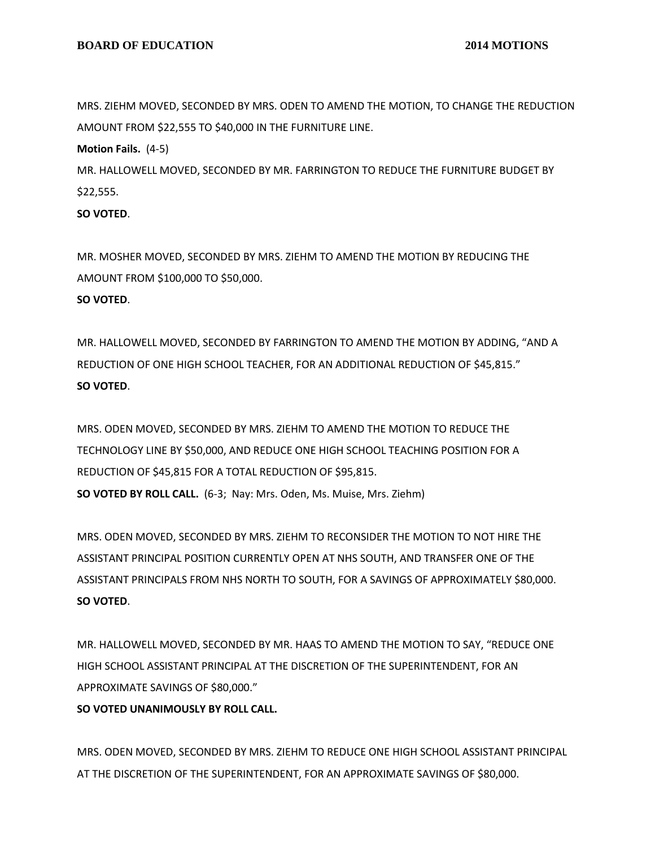MRS. ZIEHM MOVED, SECONDED BY MRS. ODEN TO AMEND THE MOTION, TO CHANGE THE REDUCTION AMOUNT FROM \$22,555 TO \$40,000 IN THE FURNITURE LINE.

**Motion Fails.** (4-5)

MR. HALLOWELL MOVED, SECONDED BY MR. FARRINGTON TO REDUCE THE FURNITURE BUDGET BY \$22,555.

**SO VOTED**.

MR. MOSHER MOVED, SECONDED BY MRS. ZIEHM TO AMEND THE MOTION BY REDUCING THE AMOUNT FROM \$100,000 TO \$50,000. **SO VOTED**.

MR. HALLOWELL MOVED, SECONDED BY FARRINGTON TO AMEND THE MOTION BY ADDING, "AND A REDUCTION OF ONE HIGH SCHOOL TEACHER, FOR AN ADDITIONAL REDUCTION OF \$45,815." **SO VOTED**.

MRS. ODEN MOVED, SECONDED BY MRS. ZIEHM TO AMEND THE MOTION TO REDUCE THE TECHNOLOGY LINE BY \$50,000, AND REDUCE ONE HIGH SCHOOL TEACHING POSITION FOR A REDUCTION OF \$45,815 FOR A TOTAL REDUCTION OF \$95,815. **SO VOTED BY ROLL CALL.** (6-3; Nay: Mrs. Oden, Ms. Muise, Mrs. Ziehm)

MRS. ODEN MOVED, SECONDED BY MRS. ZIEHM TO RECONSIDER THE MOTION TO NOT HIRE THE ASSISTANT PRINCIPAL POSITION CURRENTLY OPEN AT NHS SOUTH, AND TRANSFER ONE OF THE ASSISTANT PRINCIPALS FROM NHS NORTH TO SOUTH, FOR A SAVINGS OF APPROXIMATELY \$80,000. **SO VOTED**.

MR. HALLOWELL MOVED, SECONDED BY MR. HAAS TO AMEND THE MOTION TO SAY, "REDUCE ONE HIGH SCHOOL ASSISTANT PRINCIPAL AT THE DISCRETION OF THE SUPERINTENDENT, FOR AN APPROXIMATE SAVINGS OF \$80,000."

**SO VOTED UNANIMOUSLY BY ROLL CALL.**

MRS. ODEN MOVED, SECONDED BY MRS. ZIEHM TO REDUCE ONE HIGH SCHOOL ASSISTANT PRINCIPAL AT THE DISCRETION OF THE SUPERINTENDENT, FOR AN APPROXIMATE SAVINGS OF \$80,000.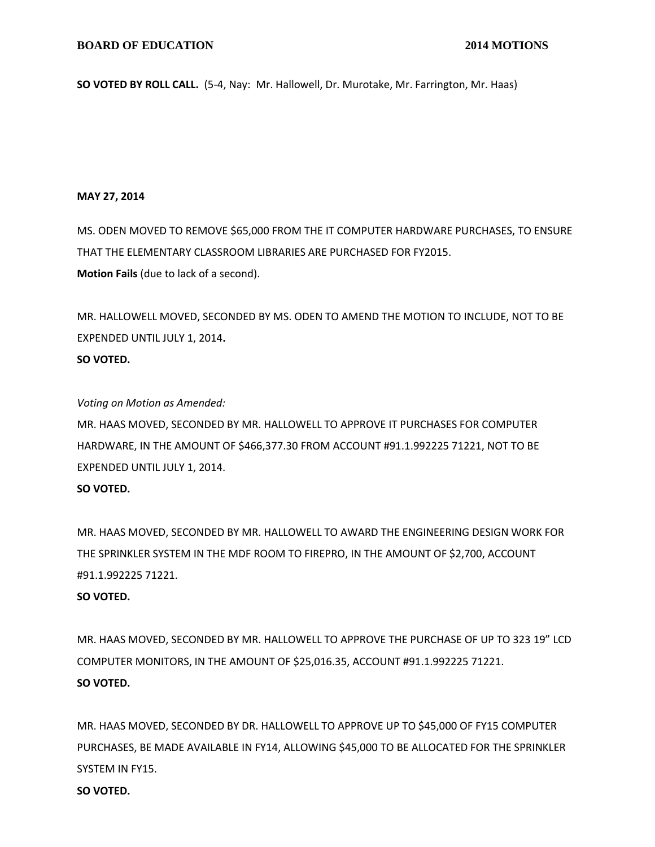**SO VOTED BY ROLL CALL.** (5-4, Nay: Mr. Hallowell, Dr. Murotake, Mr. Farrington, Mr. Haas)

## **MAY 27, 2014**

MS. ODEN MOVED TO REMOVE \$65,000 FROM THE IT COMPUTER HARDWARE PURCHASES, TO ENSURE THAT THE ELEMENTARY CLASSROOM LIBRARIES ARE PURCHASED FOR FY2015. **Motion Fails** (due to lack of a second).

MR. HALLOWELL MOVED, SECONDED BY MS. ODEN TO AMEND THE MOTION TO INCLUDE, NOT TO BE EXPENDED UNTIL JULY 1, 2014**. SO VOTED.**

*Voting on Motion as Amended:*

MR. HAAS MOVED, SECONDED BY MR. HALLOWELL TO APPROVE IT PURCHASES FOR COMPUTER HARDWARE, IN THE AMOUNT OF \$466,377.30 FROM ACCOUNT #91.1.992225 71221, NOT TO BE EXPENDED UNTIL JULY 1, 2014.

# **SO VOTED.**

MR. HAAS MOVED, SECONDED BY MR. HALLOWELL TO AWARD THE ENGINEERING DESIGN WORK FOR THE SPRINKLER SYSTEM IN THE MDF ROOM TO FIREPRO, IN THE AMOUNT OF \$2,700, ACCOUNT #91.1.992225 71221.

# **SO VOTED.**

MR. HAAS MOVED, SECONDED BY MR. HALLOWELL TO APPROVE THE PURCHASE OF UP TO 323 19" LCD COMPUTER MONITORS, IN THE AMOUNT OF \$25,016.35, ACCOUNT #91.1.992225 71221. **SO VOTED.**

MR. HAAS MOVED, SECONDED BY DR. HALLOWELL TO APPROVE UP TO \$45,000 OF FY15 COMPUTER PURCHASES, BE MADE AVAILABLE IN FY14, ALLOWING \$45,000 TO BE ALLOCATED FOR THE SPRINKLER SYSTEM IN FY15.

**SO VOTED.**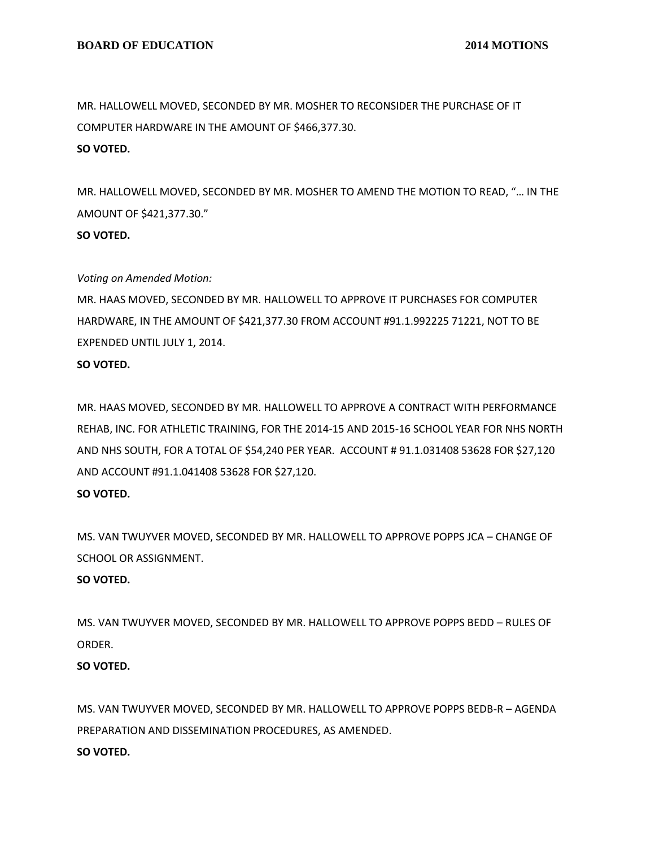MR. HALLOWELL MOVED, SECONDED BY MR. MOSHER TO RECONSIDER THE PURCHASE OF IT COMPUTER HARDWARE IN THE AMOUNT OF \$466,377.30. **SO VOTED.**

MR. HALLOWELL MOVED, SECONDED BY MR. MOSHER TO AMEND THE MOTION TO READ, "… IN THE AMOUNT OF \$421,377.30."

# **SO VOTED.**

### *Voting on Amended Motion:*

MR. HAAS MOVED, SECONDED BY MR. HALLOWELL TO APPROVE IT PURCHASES FOR COMPUTER HARDWARE, IN THE AMOUNT OF \$421,377.30 FROM ACCOUNT #91.1.992225 71221, NOT TO BE EXPENDED UNTIL JULY 1, 2014.

#### **SO VOTED.**

MR. HAAS MOVED, SECONDED BY MR. HALLOWELL TO APPROVE A CONTRACT WITH PERFORMANCE REHAB, INC. FOR ATHLETIC TRAINING, FOR THE 2014-15 AND 2015-16 SCHOOL YEAR FOR NHS NORTH AND NHS SOUTH, FOR A TOTAL OF \$54,240 PER YEAR. ACCOUNT # 91.1.031408 53628 FOR \$27,120 AND ACCOUNT #91.1.041408 53628 FOR \$27,120.

# **SO VOTED.**

MS. VAN TWUYVER MOVED, SECONDED BY MR. HALLOWELL TO APPROVE POPPS JCA – CHANGE OF SCHOOL OR ASSIGNMENT.

# **SO VOTED.**

MS. VAN TWUYVER MOVED, SECONDED BY MR. HALLOWELL TO APPROVE POPPS BEDD – RULES OF ORDER.

# **SO VOTED.**

MS. VAN TWUYVER MOVED, SECONDED BY MR. HALLOWELL TO APPROVE POPPS BEDB-R – AGENDA PREPARATION AND DISSEMINATION PROCEDURES, AS AMENDED. **SO VOTED.**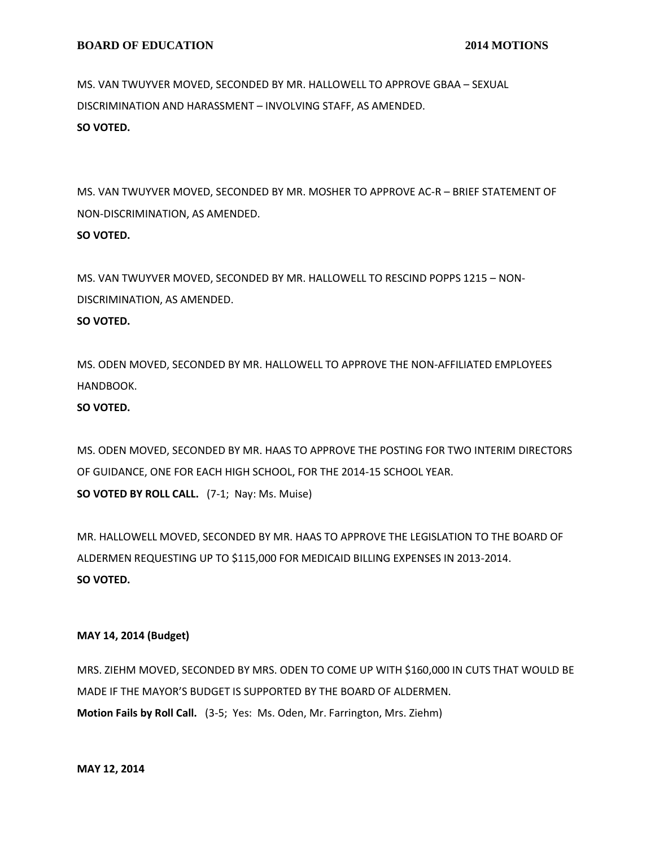MS. VAN TWUYVER MOVED, SECONDED BY MR. HALLOWELL TO APPROVE GBAA – SEXUAL DISCRIMINATION AND HARASSMENT – INVOLVING STAFF, AS AMENDED. **SO VOTED.**

MS. VAN TWUYVER MOVED, SECONDED BY MR. MOSHER TO APPROVE AC-R – BRIEF STATEMENT OF NON-DISCRIMINATION, AS AMENDED. **SO VOTED.**

MS. VAN TWUYVER MOVED, SECONDED BY MR. HALLOWELL TO RESCIND POPPS 1215 – NON-DISCRIMINATION, AS AMENDED.

# **SO VOTED.**

MS. ODEN MOVED, SECONDED BY MR. HALLOWELL TO APPROVE THE NON-AFFILIATED EMPLOYEES HANDBOOK.

# **SO VOTED.**

MS. ODEN MOVED, SECONDED BY MR. HAAS TO APPROVE THE POSTING FOR TWO INTERIM DIRECTORS OF GUIDANCE, ONE FOR EACH HIGH SCHOOL, FOR THE 2014-15 SCHOOL YEAR. **SO VOTED BY ROLL CALL.** (7-1; Nay: Ms. Muise)

MR. HALLOWELL MOVED, SECONDED BY MR. HAAS TO APPROVE THE LEGISLATION TO THE BOARD OF ALDERMEN REQUESTING UP TO \$115,000 FOR MEDICAID BILLING EXPENSES IN 2013-2014. **SO VOTED.**

# **MAY 14, 2014 (Budget)**

MRS. ZIEHM MOVED, SECONDED BY MRS. ODEN TO COME UP WITH \$160,000 IN CUTS THAT WOULD BE MADE IF THE MAYOR'S BUDGET IS SUPPORTED BY THE BOARD OF ALDERMEN. **Motion Fails by Roll Call.** (3-5; Yes: Ms. Oden, Mr. Farrington, Mrs. Ziehm)

**MAY 12, 2014**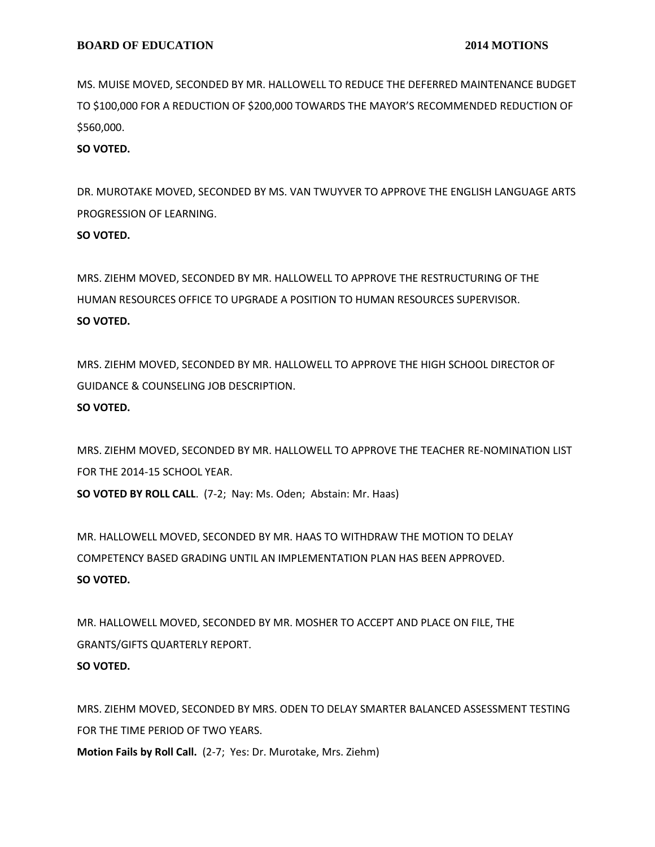MS. MUISE MOVED, SECONDED BY MR. HALLOWELL TO REDUCE THE DEFERRED MAINTENANCE BUDGET TO \$100,000 FOR A REDUCTION OF \$200,000 TOWARDS THE MAYOR'S RECOMMENDED REDUCTION OF \$560,000.

**SO VOTED.**

DR. MUROTAKE MOVED, SECONDED BY MS. VAN TWUYVER TO APPROVE THE ENGLISH LANGUAGE ARTS PROGRESSION OF LEARNING.

# **SO VOTED.**

MRS. ZIEHM MOVED, SECONDED BY MR. HALLOWELL TO APPROVE THE RESTRUCTURING OF THE HUMAN RESOURCES OFFICE TO UPGRADE A POSITION TO HUMAN RESOURCES SUPERVISOR. **SO VOTED.**

MRS. ZIEHM MOVED, SECONDED BY MR. HALLOWELL TO APPROVE THE HIGH SCHOOL DIRECTOR OF GUIDANCE & COUNSELING JOB DESCRIPTION.

### **SO VOTED.**

MRS. ZIEHM MOVED, SECONDED BY MR. HALLOWELL TO APPROVE THE TEACHER RE-NOMINATION LIST FOR THE 2014-15 SCHOOL YEAR.

**SO VOTED BY ROLL CALL**. (7-2; Nay: Ms. Oden; Abstain: Mr. Haas)

MR. HALLOWELL MOVED, SECONDED BY MR. HAAS TO WITHDRAW THE MOTION TO DELAY COMPETENCY BASED GRADING UNTIL AN IMPLEMENTATION PLAN HAS BEEN APPROVED. **SO VOTED.**

MR. HALLOWELL MOVED, SECONDED BY MR. MOSHER TO ACCEPT AND PLACE ON FILE, THE GRANTS/GIFTS QUARTERLY REPORT. **SO VOTED.**

MRS. ZIEHM MOVED, SECONDED BY MRS. ODEN TO DELAY SMARTER BALANCED ASSESSMENT TESTING FOR THE TIME PERIOD OF TWO YEARS. **Motion Fails by Roll Call.** (2-7; Yes: Dr. Murotake, Mrs. Ziehm)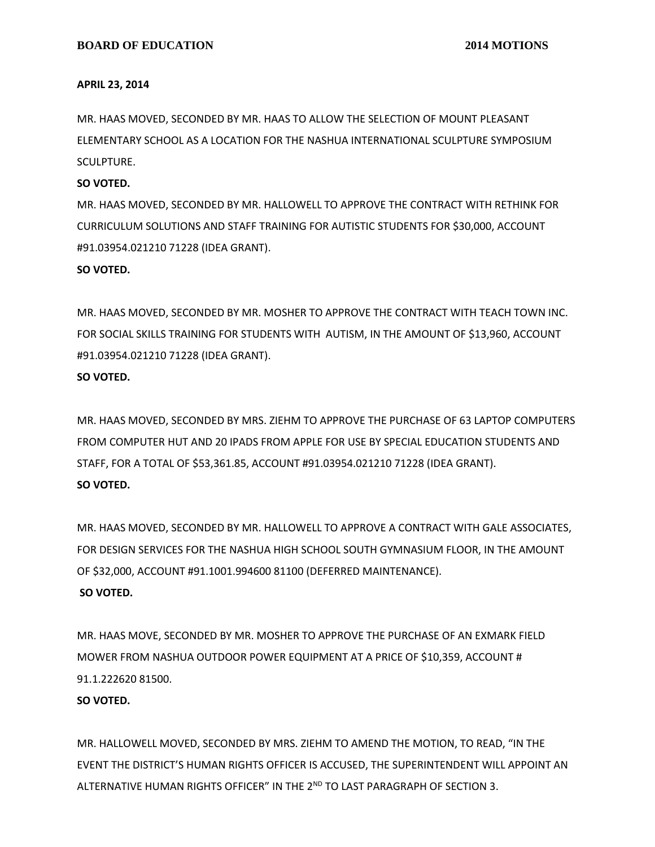#### **APRIL 23, 2014**

MR. HAAS MOVED, SECONDED BY MR. HAAS TO ALLOW THE SELECTION OF MOUNT PLEASANT ELEMENTARY SCHOOL AS A LOCATION FOR THE NASHUA INTERNATIONAL SCULPTURE SYMPOSIUM SCULPTURE.

#### **SO VOTED.**

MR. HAAS MOVED, SECONDED BY MR. HALLOWELL TO APPROVE THE CONTRACT WITH RETHINK FOR CURRICULUM SOLUTIONS AND STAFF TRAINING FOR AUTISTIC STUDENTS FOR \$30,000, ACCOUNT #91.03954.021210 71228 (IDEA GRANT).

#### **SO VOTED.**

MR. HAAS MOVED, SECONDED BY MR. MOSHER TO APPROVE THE CONTRACT WITH TEACH TOWN INC. FOR SOCIAL SKILLS TRAINING FOR STUDENTS WITH AUTISM, IN THE AMOUNT OF \$13,960, ACCOUNT #91.03954.021210 71228 (IDEA GRANT).

#### **SO VOTED.**

MR. HAAS MOVED, SECONDED BY MRS. ZIEHM TO APPROVE THE PURCHASE OF 63 LAPTOP COMPUTERS FROM COMPUTER HUT AND 20 IPADS FROM APPLE FOR USE BY SPECIAL EDUCATION STUDENTS AND STAFF, FOR A TOTAL OF \$53,361.85, ACCOUNT #91.03954.021210 71228 (IDEA GRANT). **SO VOTED.**

MR. HAAS MOVED, SECONDED BY MR. HALLOWELL TO APPROVE A CONTRACT WITH GALE ASSOCIATES, FOR DESIGN SERVICES FOR THE NASHUA HIGH SCHOOL SOUTH GYMNASIUM FLOOR, IN THE AMOUNT OF \$32,000, ACCOUNT #91.1001.994600 81100 (DEFERRED MAINTENANCE). **SO VOTED.**

MR. HAAS MOVE, SECONDED BY MR. MOSHER TO APPROVE THE PURCHASE OF AN EXMARK FIELD MOWER FROM NASHUA OUTDOOR POWER EQUIPMENT AT A PRICE OF \$10,359, ACCOUNT # 91.1.222620 81500.

#### **SO VOTED.**

MR. HALLOWELL MOVED, SECONDED BY MRS. ZIEHM TO AMEND THE MOTION, TO READ, "IN THE EVENT THE DISTRICT'S HUMAN RIGHTS OFFICER IS ACCUSED, THE SUPERINTENDENT WILL APPOINT AN ALTERNATIVE HUMAN RIGHTS OFFICER" IN THE 2ND TO LAST PARAGRAPH OF SECTION 3.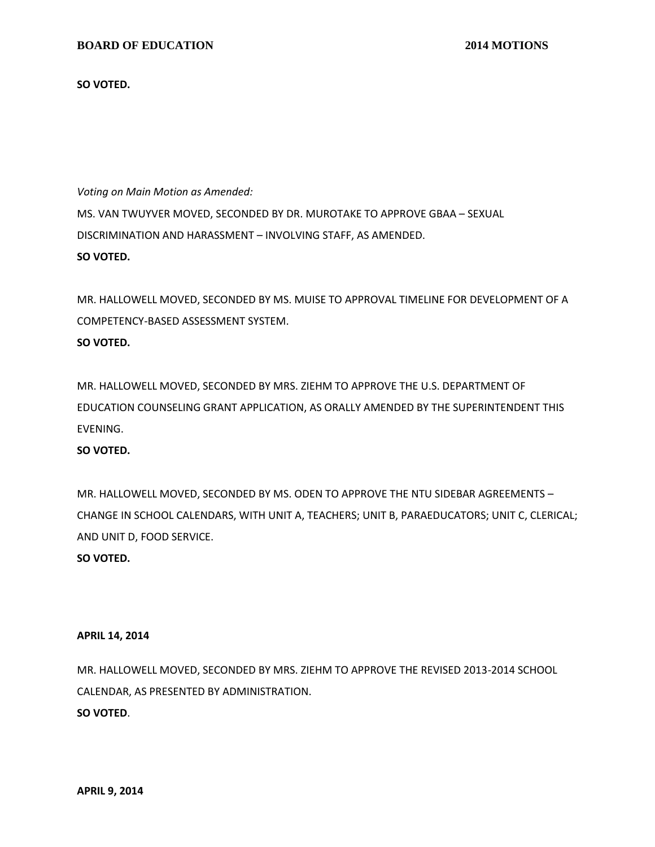**SO VOTED.**

*Voting on Main Motion as Amended:* MS. VAN TWUYVER MOVED, SECONDED BY DR. MUROTAKE TO APPROVE GBAA – SEXUAL DISCRIMINATION AND HARASSMENT – INVOLVING STAFF, AS AMENDED. **SO VOTED.**

MR. HALLOWELL MOVED, SECONDED BY MS. MUISE TO APPROVAL TIMELINE FOR DEVELOPMENT OF A COMPETENCY-BASED ASSESSMENT SYSTEM. **SO VOTED.**

MR. HALLOWELL MOVED, SECONDED BY MRS. ZIEHM TO APPROVE THE U.S. DEPARTMENT OF EDUCATION COUNSELING GRANT APPLICATION, AS ORALLY AMENDED BY THE SUPERINTENDENT THIS EVENING.

# **SO VOTED.**

MR. HALLOWELL MOVED, SECONDED BY MS. ODEN TO APPROVE THE NTU SIDEBAR AGREEMENTS – CHANGE IN SCHOOL CALENDARS, WITH UNIT A, TEACHERS; UNIT B, PARAEDUCATORS; UNIT C, CLERICAL; AND UNIT D, FOOD SERVICE.

# **SO VOTED.**

#### **APRIL 14, 2014**

MR. HALLOWELL MOVED, SECONDED BY MRS. ZIEHM TO APPROVE THE REVISED 2013-2014 SCHOOL CALENDAR, AS PRESENTED BY ADMINISTRATION. **SO VOTED**.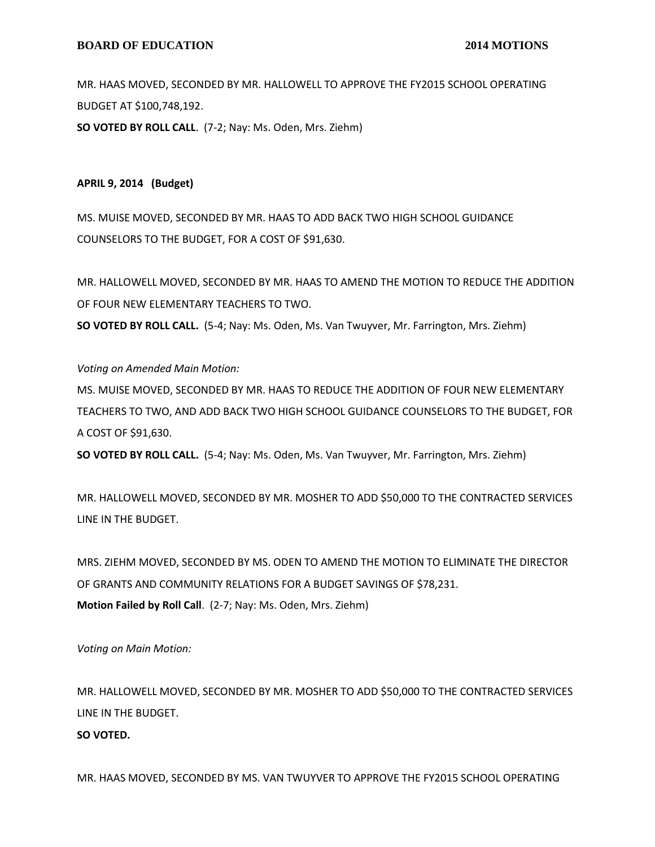MR. HAAS MOVED, SECONDED BY MR. HALLOWELL TO APPROVE THE FY2015 SCHOOL OPERATING BUDGET AT \$100,748,192. **SO VOTED BY ROLL CALL**. (7-2; Nay: Ms. Oden, Mrs. Ziehm)

## **APRIL 9, 2014 (Budget)**

MS. MUISE MOVED, SECONDED BY MR. HAAS TO ADD BACK TWO HIGH SCHOOL GUIDANCE COUNSELORS TO THE BUDGET, FOR A COST OF \$91,630.

MR. HALLOWELL MOVED, SECONDED BY MR. HAAS TO AMEND THE MOTION TO REDUCE THE ADDITION OF FOUR NEW ELEMENTARY TEACHERS TO TWO.

**SO VOTED BY ROLL CALL.** (5-4; Nay: Ms. Oden, Ms. Van Twuyver, Mr. Farrington, Mrs. Ziehm)

### *Voting on Amended Main Motion:*

MS. MUISE MOVED, SECONDED BY MR. HAAS TO REDUCE THE ADDITION OF FOUR NEW ELEMENTARY TEACHERS TO TWO, AND ADD BACK TWO HIGH SCHOOL GUIDANCE COUNSELORS TO THE BUDGET, FOR A COST OF \$91,630.

**SO VOTED BY ROLL CALL.** (5-4; Nay: Ms. Oden, Ms. Van Twuyver, Mr. Farrington, Mrs. Ziehm)

MR. HALLOWELL MOVED, SECONDED BY MR. MOSHER TO ADD \$50,000 TO THE CONTRACTED SERVICES LINE IN THE BUDGET.

MRS. ZIEHM MOVED, SECONDED BY MS. ODEN TO AMEND THE MOTION TO ELIMINATE THE DIRECTOR OF GRANTS AND COMMUNITY RELATIONS FOR A BUDGET SAVINGS OF \$78,231. **Motion Failed by Roll Call**. (2-7; Nay: Ms. Oden, Mrs. Ziehm)

*Voting on Main Motion:*

MR. HALLOWELL MOVED, SECONDED BY MR. MOSHER TO ADD \$50,000 TO THE CONTRACTED SERVICES LINE IN THE BUDGET.

# **SO VOTED.**

MR. HAAS MOVED, SECONDED BY MS. VAN TWUYVER TO APPROVE THE FY2015 SCHOOL OPERATING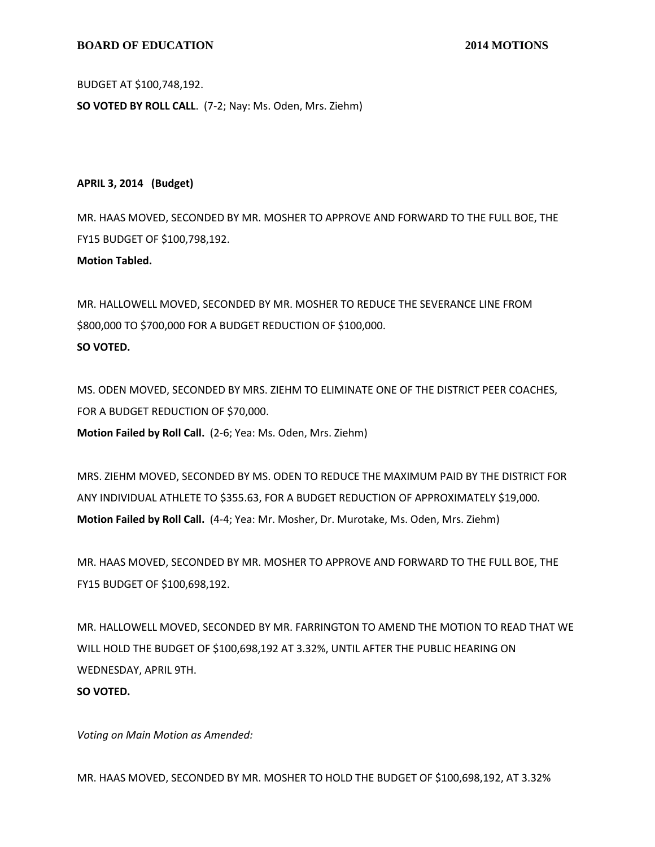## **BOARD OF EDUCATION** 2014 MOTIONS

BUDGET AT \$100,748,192.

**SO VOTED BY ROLL CALL**. (7-2; Nay: Ms. Oden, Mrs. Ziehm)

**APRIL 3, 2014 (Budget)**

MR. HAAS MOVED, SECONDED BY MR. MOSHER TO APPROVE AND FORWARD TO THE FULL BOE, THE FY15 BUDGET OF \$100,798,192.

**Motion Tabled.**

MR. HALLOWELL MOVED, SECONDED BY MR. MOSHER TO REDUCE THE SEVERANCE LINE FROM \$800,000 TO \$700,000 FOR A BUDGET REDUCTION OF \$100,000. **SO VOTED.**

MS. ODEN MOVED, SECONDED BY MRS. ZIEHM TO ELIMINATE ONE OF THE DISTRICT PEER COACHES, FOR A BUDGET REDUCTION OF \$70,000. **Motion Failed by Roll Call.** (2-6; Yea: Ms. Oden, Mrs. Ziehm)

MRS. ZIEHM MOVED, SECONDED BY MS. ODEN TO REDUCE THE MAXIMUM PAID BY THE DISTRICT FOR ANY INDIVIDUAL ATHLETE TO \$355.63, FOR A BUDGET REDUCTION OF APPROXIMATELY \$19,000. **Motion Failed by Roll Call.** (4-4; Yea: Mr. Mosher, Dr. Murotake, Ms. Oden, Mrs. Ziehm)

MR. HAAS MOVED, SECONDED BY MR. MOSHER TO APPROVE AND FORWARD TO THE FULL BOE, THE FY15 BUDGET OF \$100,698,192.

MR. HALLOWELL MOVED, SECONDED BY MR. FARRINGTON TO AMEND THE MOTION TO READ THAT WE WILL HOLD THE BUDGET OF \$100,698,192 AT 3.32%, UNTIL AFTER THE PUBLIC HEARING ON WEDNESDAY, APRIL 9TH. **SO VOTED.**

*Voting on Main Motion as Amended:*

MR. HAAS MOVED, SECONDED BY MR. MOSHER TO HOLD THE BUDGET OF \$100,698,192, AT 3.32%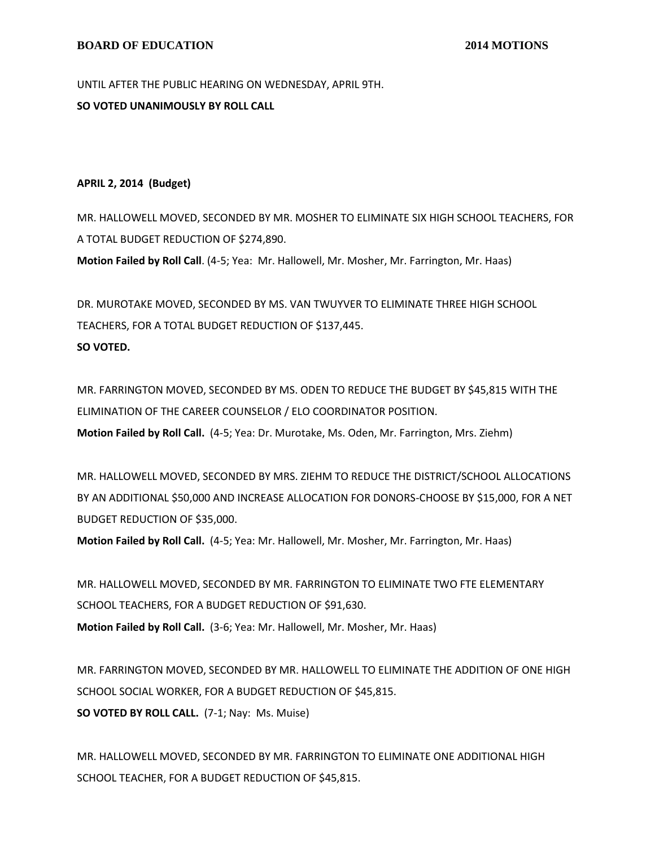UNTIL AFTER THE PUBLIC HEARING ON WEDNESDAY, APRIL 9TH. **SO VOTED UNANIMOUSLY BY ROLL CALL**

## **APRIL 2, 2014 (Budget)**

MR. HALLOWELL MOVED, SECONDED BY MR. MOSHER TO ELIMINATE SIX HIGH SCHOOL TEACHERS, FOR A TOTAL BUDGET REDUCTION OF \$274,890.

**Motion Failed by Roll Call**. (4-5; Yea: Mr. Hallowell, Mr. Mosher, Mr. Farrington, Mr. Haas)

DR. MUROTAKE MOVED, SECONDED BY MS. VAN TWUYVER TO ELIMINATE THREE HIGH SCHOOL TEACHERS, FOR A TOTAL BUDGET REDUCTION OF \$137,445. **SO VOTED.**

MR. FARRINGTON MOVED, SECONDED BY MS. ODEN TO REDUCE THE BUDGET BY \$45,815 WITH THE ELIMINATION OF THE CAREER COUNSELOR / ELO COORDINATOR POSITION. **Motion Failed by Roll Call.** (4-5; Yea: Dr. Murotake, Ms. Oden, Mr. Farrington, Mrs. Ziehm)

MR. HALLOWELL MOVED, SECONDED BY MRS. ZIEHM TO REDUCE THE DISTRICT/SCHOOL ALLOCATIONS BY AN ADDITIONAL \$50,000 AND INCREASE ALLOCATION FOR DONORS-CHOOSE BY \$15,000, FOR A NET BUDGET REDUCTION OF \$35,000.

**Motion Failed by Roll Call.** (4-5; Yea: Mr. Hallowell, Mr. Mosher, Mr. Farrington, Mr. Haas)

MR. HALLOWELL MOVED, SECONDED BY MR. FARRINGTON TO ELIMINATE TWO FTE ELEMENTARY SCHOOL TEACHERS, FOR A BUDGET REDUCTION OF \$91,630. **Motion Failed by Roll Call.** (3-6; Yea: Mr. Hallowell, Mr. Mosher, Mr. Haas)

MR. FARRINGTON MOVED, SECONDED BY MR. HALLOWELL TO ELIMINATE THE ADDITION OF ONE HIGH SCHOOL SOCIAL WORKER, FOR A BUDGET REDUCTION OF \$45,815. **SO VOTED BY ROLL CALL.** (7-1; Nay: Ms. Muise)

MR. HALLOWELL MOVED, SECONDED BY MR. FARRINGTON TO ELIMINATE ONE ADDITIONAL HIGH SCHOOL TEACHER, FOR A BUDGET REDUCTION OF \$45,815.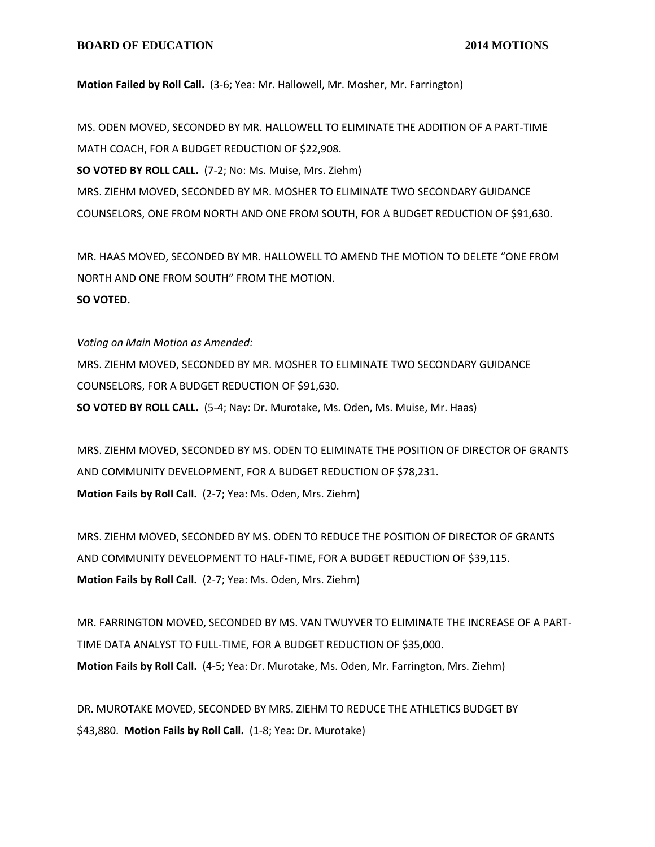#### **BOARD OF EDUCATION** 2014 MOTIONS

**Motion Failed by Roll Call.** (3-6; Yea: Mr. Hallowell, Mr. Mosher, Mr. Farrington)

MS. ODEN MOVED, SECONDED BY MR. HALLOWELL TO ELIMINATE THE ADDITION OF A PART-TIME MATH COACH, FOR A BUDGET REDUCTION OF \$22,908. **SO VOTED BY ROLL CALL.** (7-2; No: Ms. Muise, Mrs. Ziehm) MRS. ZIEHM MOVED, SECONDED BY MR. MOSHER TO ELIMINATE TWO SECONDARY GUIDANCE COUNSELORS, ONE FROM NORTH AND ONE FROM SOUTH, FOR A BUDGET REDUCTION OF \$91,630.

MR. HAAS MOVED, SECONDED BY MR. HALLOWELL TO AMEND THE MOTION TO DELETE "ONE FROM NORTH AND ONE FROM SOUTH" FROM THE MOTION. **SO VOTED.**

*Voting on Main Motion as Amended:*

MRS. ZIEHM MOVED, SECONDED BY MR. MOSHER TO ELIMINATE TWO SECONDARY GUIDANCE COUNSELORS, FOR A BUDGET REDUCTION OF \$91,630.

**SO VOTED BY ROLL CALL.** (5-4; Nay: Dr. Murotake, Ms. Oden, Ms. Muise, Mr. Haas)

MRS. ZIEHM MOVED, SECONDED BY MS. ODEN TO ELIMINATE THE POSITION OF DIRECTOR OF GRANTS AND COMMUNITY DEVELOPMENT, FOR A BUDGET REDUCTION OF \$78,231. **Motion Fails by Roll Call.** (2-7; Yea: Ms. Oden, Mrs. Ziehm)

MRS. ZIEHM MOVED, SECONDED BY MS. ODEN TO REDUCE THE POSITION OF DIRECTOR OF GRANTS AND COMMUNITY DEVELOPMENT TO HALF-TIME, FOR A BUDGET REDUCTION OF \$39,115. **Motion Fails by Roll Call.** (2-7; Yea: Ms. Oden, Mrs. Ziehm)

MR. FARRINGTON MOVED, SECONDED BY MS. VAN TWUYVER TO ELIMINATE THE INCREASE OF A PART-TIME DATA ANALYST TO FULL-TIME, FOR A BUDGET REDUCTION OF \$35,000. **Motion Fails by Roll Call.** (4-5; Yea: Dr. Murotake, Ms. Oden, Mr. Farrington, Mrs. Ziehm)

DR. MUROTAKE MOVED, SECONDED BY MRS. ZIEHM TO REDUCE THE ATHLETICS BUDGET BY \$43,880. **Motion Fails by Roll Call.** (1-8; Yea: Dr. Murotake)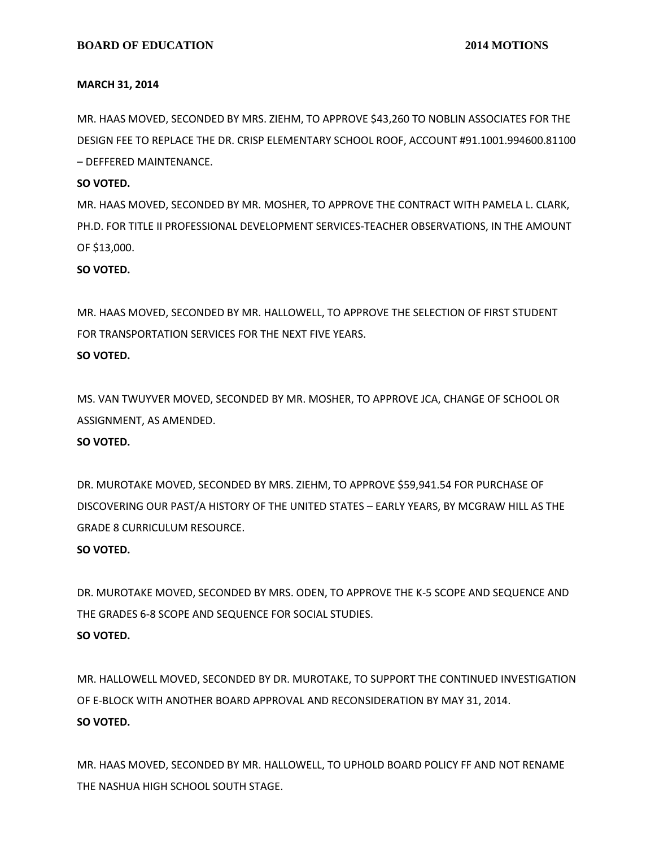#### **MARCH 31, 2014**

MR. HAAS MOVED, SECONDED BY MRS. ZIEHM, TO APPROVE \$43,260 TO NOBLIN ASSOCIATES FOR THE DESIGN FEE TO REPLACE THE DR. CRISP ELEMENTARY SCHOOL ROOF, ACCOUNT #91.1001.994600.81100 – DEFFERED MAINTENANCE.

#### **SO VOTED.**

MR. HAAS MOVED, SECONDED BY MR. MOSHER, TO APPROVE THE CONTRACT WITH PAMELA L. CLARK, PH.D. FOR TITLE II PROFESSIONAL DEVELOPMENT SERVICES-TEACHER OBSERVATIONS, IN THE AMOUNT OF \$13,000.

### **SO VOTED.**

MR. HAAS MOVED, SECONDED BY MR. HALLOWELL, TO APPROVE THE SELECTION OF FIRST STUDENT FOR TRANSPORTATION SERVICES FOR THE NEXT FIVE YEARS.

## **SO VOTED.**

MS. VAN TWUYVER MOVED, SECONDED BY MR. MOSHER, TO APPROVE JCA, CHANGE OF SCHOOL OR ASSIGNMENT, AS AMENDED.

# **SO VOTED.**

DR. MUROTAKE MOVED, SECONDED BY MRS. ZIEHM, TO APPROVE \$59,941.54 FOR PURCHASE OF DISCOVERING OUR PAST/A HISTORY OF THE UNITED STATES – EARLY YEARS, BY MCGRAW HILL AS THE GRADE 8 CURRICULUM RESOURCE.

# **SO VOTED.**

DR. MUROTAKE MOVED, SECONDED BY MRS. ODEN, TO APPROVE THE K-5 SCOPE AND SEQUENCE AND THE GRADES 6-8 SCOPE AND SEQUENCE FOR SOCIAL STUDIES. **SO VOTED.**

MR. HALLOWELL MOVED, SECONDED BY DR. MUROTAKE, TO SUPPORT THE CONTINUED INVESTIGATION OF E-BLOCK WITH ANOTHER BOARD APPROVAL AND RECONSIDERATION BY MAY 31, 2014. **SO VOTED.**

MR. HAAS MOVED, SECONDED BY MR. HALLOWELL, TO UPHOLD BOARD POLICY FF AND NOT RENAME THE NASHUA HIGH SCHOOL SOUTH STAGE.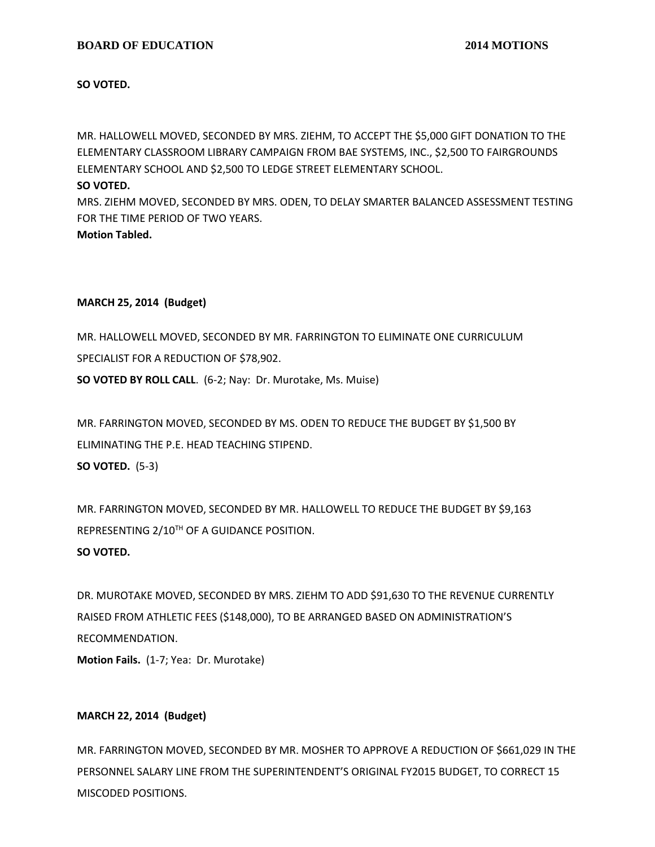**SO VOTED.**

MR. HALLOWELL MOVED, SECONDED BY MRS. ZIEHM, TO ACCEPT THE \$5,000 GIFT DONATION TO THE ELEMENTARY CLASSROOM LIBRARY CAMPAIGN FROM BAE SYSTEMS, INC., \$2,500 TO FAIRGROUNDS ELEMENTARY SCHOOL AND \$2,500 TO LEDGE STREET ELEMENTARY SCHOOL.

### **SO VOTED.**

MRS. ZIEHM MOVED, SECONDED BY MRS. ODEN, TO DELAY SMARTER BALANCED ASSESSMENT TESTING FOR THE TIME PERIOD OF TWO YEARS.

**Motion Tabled.**

# **MARCH 25, 2014 (Budget)**

MR. HALLOWELL MOVED, SECONDED BY MR. FARRINGTON TO ELIMINATE ONE CURRICULUM SPECIALIST FOR A REDUCTION OF \$78,902. **SO VOTED BY ROLL CALL**. (6-2; Nay: Dr. Murotake, Ms. Muise)

MR. FARRINGTON MOVED, SECONDED BY MS. ODEN TO REDUCE THE BUDGET BY \$1,500 BY

ELIMINATING THE P.E. HEAD TEACHING STIPEND.

**SO VOTED.** (5-3)

MR. FARRINGTON MOVED, SECONDED BY MR. HALLOWELL TO REDUCE THE BUDGET BY \$9,163 REPRESENTING 2/10TH OF A GUIDANCE POSITION.

# **SO VOTED.**

DR. MUROTAKE MOVED, SECONDED BY MRS. ZIEHM TO ADD \$91,630 TO THE REVENUE CURRENTLY RAISED FROM ATHLETIC FEES (\$148,000), TO BE ARRANGED BASED ON ADMINISTRATION'S RECOMMENDATION.

**Motion Fails.** (1-7; Yea: Dr. Murotake)

# **MARCH 22, 2014 (Budget)**

MR. FARRINGTON MOVED, SECONDED BY MR. MOSHER TO APPROVE A REDUCTION OF \$661,029 IN THE PERSONNEL SALARY LINE FROM THE SUPERINTENDENT'S ORIGINAL FY2015 BUDGET, TO CORRECT 15 MISCODED POSITIONS.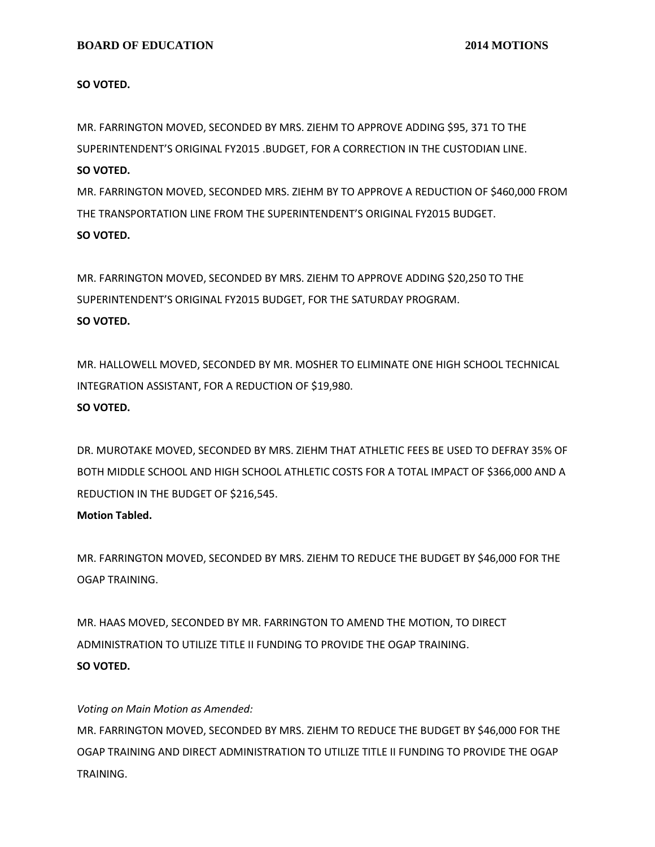**SO VOTED.**

MR. FARRINGTON MOVED, SECONDED BY MRS. ZIEHM TO APPROVE ADDING \$95, 371 TO THE SUPERINTENDENT'S ORIGINAL FY2015 .BUDGET, FOR A CORRECTION IN THE CUSTODIAN LINE. **SO VOTED.**

MR. FARRINGTON MOVED, SECONDED MRS. ZIEHM BY TO APPROVE A REDUCTION OF \$460,000 FROM THE TRANSPORTATION LINE FROM THE SUPERINTENDENT'S ORIGINAL FY2015 BUDGET. **SO VOTED.**

MR. FARRINGTON MOVED, SECONDED BY MRS. ZIEHM TO APPROVE ADDING \$20,250 TO THE SUPERINTENDENT'S ORIGINAL FY2015 BUDGET, FOR THE SATURDAY PROGRAM. **SO VOTED.**

MR. HALLOWELL MOVED, SECONDED BY MR. MOSHER TO ELIMINATE ONE HIGH SCHOOL TECHNICAL INTEGRATION ASSISTANT, FOR A REDUCTION OF \$19,980. **SO VOTED.**

DR. MUROTAKE MOVED, SECONDED BY MRS. ZIEHM THAT ATHLETIC FEES BE USED TO DEFRAY 35% OF BOTH MIDDLE SCHOOL AND HIGH SCHOOL ATHLETIC COSTS FOR A TOTAL IMPACT OF \$366,000 AND A REDUCTION IN THE BUDGET OF \$216,545.

# **Motion Tabled.**

MR. FARRINGTON MOVED, SECONDED BY MRS. ZIEHM TO REDUCE THE BUDGET BY \$46,000 FOR THE OGAP TRAINING.

MR. HAAS MOVED, SECONDED BY MR. FARRINGTON TO AMEND THE MOTION, TO DIRECT ADMINISTRATION TO UTILIZE TITLE II FUNDING TO PROVIDE THE OGAP TRAINING. **SO VOTED.**

# *Voting on Main Motion as Amended:*

MR. FARRINGTON MOVED, SECONDED BY MRS. ZIEHM TO REDUCE THE BUDGET BY \$46,000 FOR THE OGAP TRAINING AND DIRECT ADMINISTRATION TO UTILIZE TITLE II FUNDING TO PROVIDE THE OGAP TRAINING.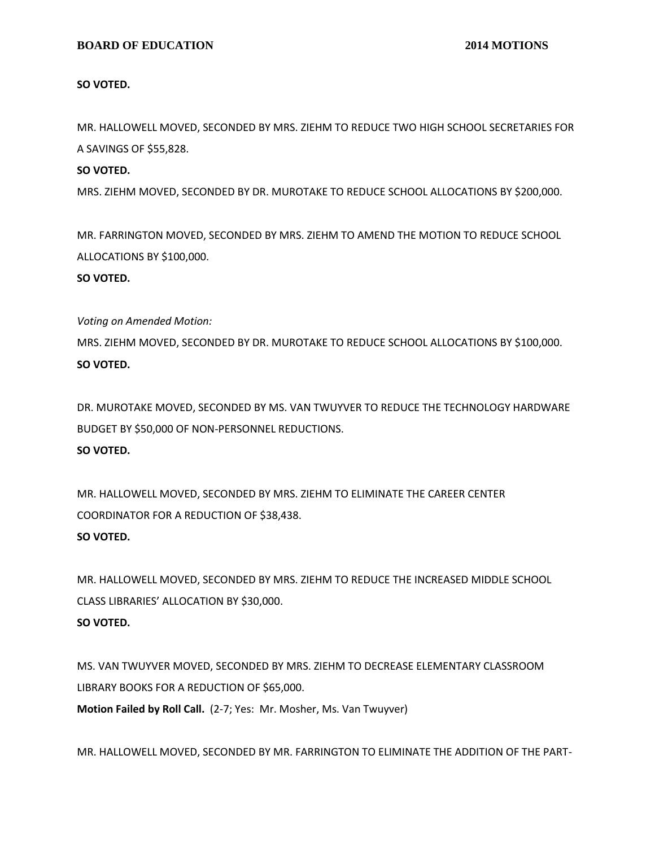## **BOARD OF EDUCATION** 2014 MOTIONS

**SO VOTED.**

MR. HALLOWELL MOVED, SECONDED BY MRS. ZIEHM TO REDUCE TWO HIGH SCHOOL SECRETARIES FOR A SAVINGS OF \$55,828.

## **SO VOTED.**

MRS. ZIEHM MOVED, SECONDED BY DR. MUROTAKE TO REDUCE SCHOOL ALLOCATIONS BY \$200,000.

MR. FARRINGTON MOVED, SECONDED BY MRS. ZIEHM TO AMEND THE MOTION TO REDUCE SCHOOL ALLOCATIONS BY \$100,000.

#### **SO VOTED.**

*Voting on Amended Motion:*

MRS. ZIEHM MOVED, SECONDED BY DR. MUROTAKE TO REDUCE SCHOOL ALLOCATIONS BY \$100,000. **SO VOTED.**

DR. MUROTAKE MOVED, SECONDED BY MS. VAN TWUYVER TO REDUCE THE TECHNOLOGY HARDWARE BUDGET BY \$50,000 OF NON-PERSONNEL REDUCTIONS. **SO VOTED.**

MR. HALLOWELL MOVED, SECONDED BY MRS. ZIEHM TO ELIMINATE THE CAREER CENTER COORDINATOR FOR A REDUCTION OF \$38,438. **SO VOTED.**

MR. HALLOWELL MOVED, SECONDED BY MRS. ZIEHM TO REDUCE THE INCREASED MIDDLE SCHOOL CLASS LIBRARIES' ALLOCATION BY \$30,000.

# **SO VOTED.**

MS. VAN TWUYVER MOVED, SECONDED BY MRS. ZIEHM TO DECREASE ELEMENTARY CLASSROOM LIBRARY BOOKS FOR A REDUCTION OF \$65,000.

**Motion Failed by Roll Call.** (2-7; Yes: Mr. Mosher, Ms. Van Twuyver)

MR. HALLOWELL MOVED, SECONDED BY MR. FARRINGTON TO ELIMINATE THE ADDITION OF THE PART-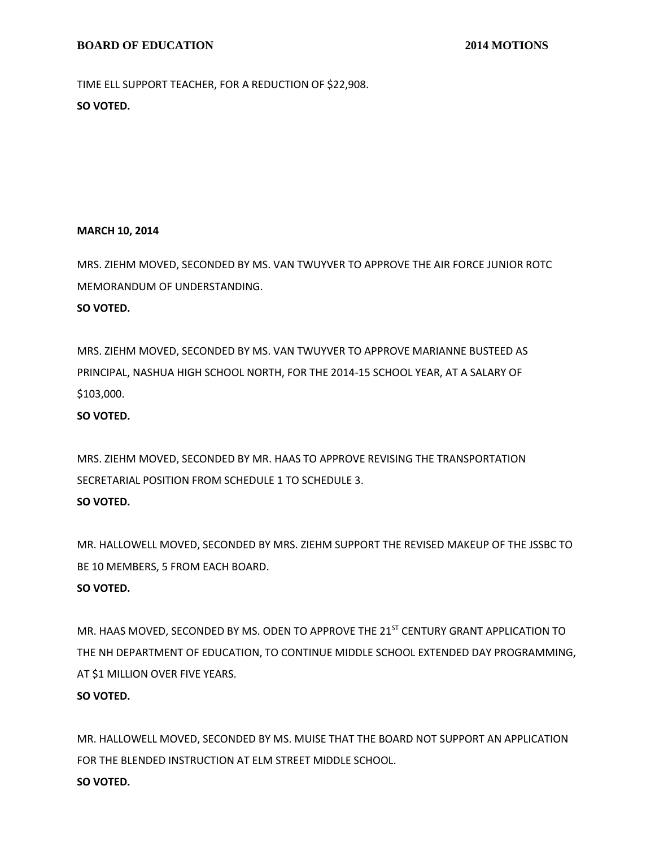TIME ELL SUPPORT TEACHER, FOR A REDUCTION OF \$22,908. **SO VOTED.**

#### **MARCH 10, 2014**

MRS. ZIEHM MOVED, SECONDED BY MS. VAN TWUYVER TO APPROVE THE AIR FORCE JUNIOR ROTC MEMORANDUM OF UNDERSTANDING.

# **SO VOTED.**

MRS. ZIEHM MOVED, SECONDED BY MS. VAN TWUYVER TO APPROVE MARIANNE BUSTEED AS PRINCIPAL, NASHUA HIGH SCHOOL NORTH, FOR THE 2014-15 SCHOOL YEAR, AT A SALARY OF \$103,000.

**SO VOTED.**

MRS. ZIEHM MOVED, SECONDED BY MR. HAAS TO APPROVE REVISING THE TRANSPORTATION SECRETARIAL POSITION FROM SCHEDULE 1 TO SCHEDULE 3. **SO VOTED.**

MR. HALLOWELL MOVED, SECONDED BY MRS. ZIEHM SUPPORT THE REVISED MAKEUP OF THE JSSBC TO BE 10 MEMBERS, 5 FROM EACH BOARD.

# **SO VOTED.**

MR. HAAS MOVED, SECONDED BY MS. ODEN TO APPROVE THE 21<sup>ST</sup> CENTURY GRANT APPLICATION TO THE NH DEPARTMENT OF EDUCATION, TO CONTINUE MIDDLE SCHOOL EXTENDED DAY PROGRAMMING, AT \$1 MILLION OVER FIVE YEARS.

# **SO VOTED.**

MR. HALLOWELL MOVED, SECONDED BY MS. MUISE THAT THE BOARD NOT SUPPORT AN APPLICATION FOR THE BLENDED INSTRUCTION AT ELM STREET MIDDLE SCHOOL. **SO VOTED.**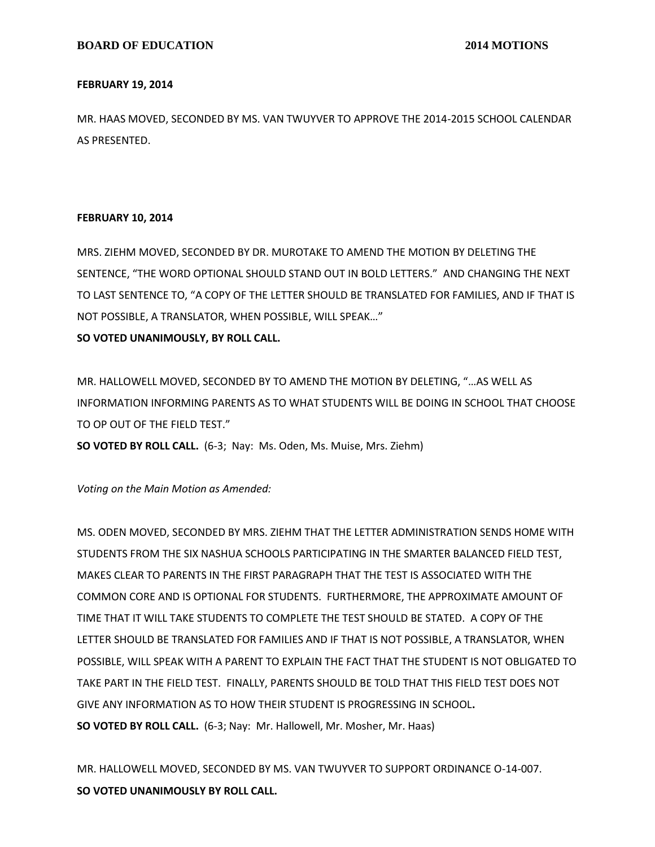### **FEBRUARY 19, 2014**

MR. HAAS MOVED, SECONDED BY MS. VAN TWUYVER TO APPROVE THE 2014-2015 SCHOOL CALENDAR AS PRESENTED.

# **FEBRUARY 10, 2014**

MRS. ZIEHM MOVED, SECONDED BY DR. MUROTAKE TO AMEND THE MOTION BY DELETING THE SENTENCE, "THE WORD OPTIONAL SHOULD STAND OUT IN BOLD LETTERS." AND CHANGING THE NEXT TO LAST SENTENCE TO, "A COPY OF THE LETTER SHOULD BE TRANSLATED FOR FAMILIES, AND IF THAT IS NOT POSSIBLE, A TRANSLATOR, WHEN POSSIBLE, WILL SPEAK…"

# **SO VOTED UNANIMOUSLY, BY ROLL CALL.**

MR. HALLOWELL MOVED, SECONDED BY TO AMEND THE MOTION BY DELETING, "…AS WELL AS INFORMATION INFORMING PARENTS AS TO WHAT STUDENTS WILL BE DOING IN SCHOOL THAT CHOOSE TO OP OUT OF THE FIELD TEST."

**SO VOTED BY ROLL CALL.** (6-3; Nay: Ms. Oden, Ms. Muise, Mrs. Ziehm)

*Voting on the Main Motion as Amended:*

MS. ODEN MOVED, SECONDED BY MRS. ZIEHM THAT THE LETTER ADMINISTRATION SENDS HOME WITH STUDENTS FROM THE SIX NASHUA SCHOOLS PARTICIPATING IN THE SMARTER BALANCED FIELD TEST, MAKES CLEAR TO PARENTS IN THE FIRST PARAGRAPH THAT THE TEST IS ASSOCIATED WITH THE COMMON CORE AND IS OPTIONAL FOR STUDENTS. FURTHERMORE, THE APPROXIMATE AMOUNT OF TIME THAT IT WILL TAKE STUDENTS TO COMPLETE THE TEST SHOULD BE STATED. A COPY OF THE LETTER SHOULD BE TRANSLATED FOR FAMILIES AND IF THAT IS NOT POSSIBLE, A TRANSLATOR, WHEN POSSIBLE, WILL SPEAK WITH A PARENT TO EXPLAIN THE FACT THAT THE STUDENT IS NOT OBLIGATED TO TAKE PART IN THE FIELD TEST. FINALLY, PARENTS SHOULD BE TOLD THAT THIS FIELD TEST DOES NOT GIVE ANY INFORMATION AS TO HOW THEIR STUDENT IS PROGRESSING IN SCHOOL**. SO VOTED BY ROLL CALL.** (6-3; Nay: Mr. Hallowell, Mr. Mosher, Mr. Haas)

MR. HALLOWELL MOVED, SECONDED BY MS. VAN TWUYVER TO SUPPORT ORDINANCE O-14-007. **SO VOTED UNANIMOUSLY BY ROLL CALL.**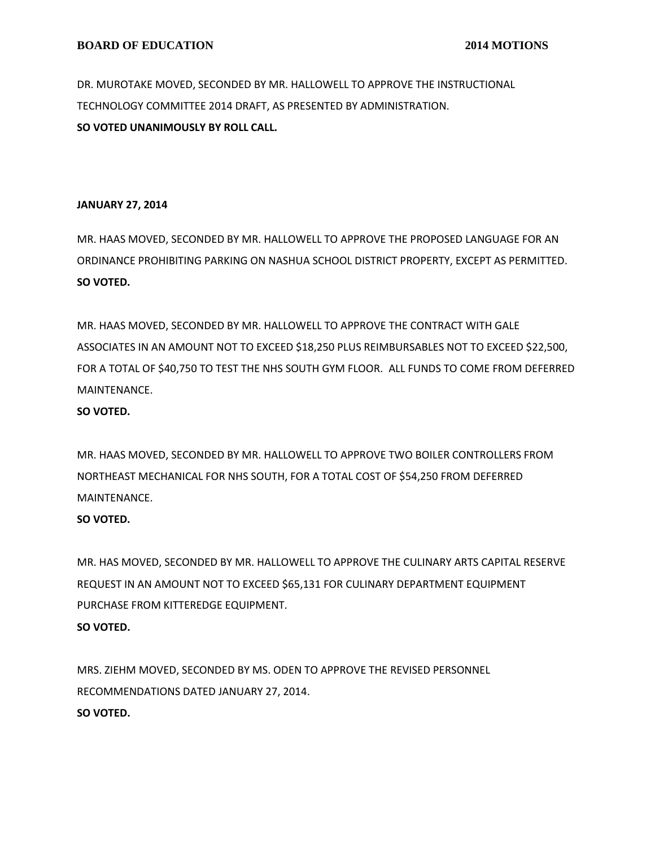DR. MUROTAKE MOVED, SECONDED BY MR. HALLOWELL TO APPROVE THE INSTRUCTIONAL TECHNOLOGY COMMITTEE 2014 DRAFT, AS PRESENTED BY ADMINISTRATION. **SO VOTED UNANIMOUSLY BY ROLL CALL.**

## **JANUARY 27, 2014**

MR. HAAS MOVED, SECONDED BY MR. HALLOWELL TO APPROVE THE PROPOSED LANGUAGE FOR AN ORDINANCE PROHIBITING PARKING ON NASHUA SCHOOL DISTRICT PROPERTY, EXCEPT AS PERMITTED. **SO VOTED.**

MR. HAAS MOVED, SECONDED BY MR. HALLOWELL TO APPROVE THE CONTRACT WITH GALE ASSOCIATES IN AN AMOUNT NOT TO EXCEED \$18,250 PLUS REIMBURSABLES NOT TO EXCEED \$22,500, FOR A TOTAL OF \$40,750 TO TEST THE NHS SOUTH GYM FLOOR. ALL FUNDS TO COME FROM DEFERRED MAINTENANCE.

# **SO VOTED.**

MR. HAAS MOVED, SECONDED BY MR. HALLOWELL TO APPROVE TWO BOILER CONTROLLERS FROM NORTHEAST MECHANICAL FOR NHS SOUTH, FOR A TOTAL COST OF \$54,250 FROM DEFERRED MAINTENANCE.

# **SO VOTED.**

MR. HAS MOVED, SECONDED BY MR. HALLOWELL TO APPROVE THE CULINARY ARTS CAPITAL RESERVE REQUEST IN AN AMOUNT NOT TO EXCEED \$65,131 FOR CULINARY DEPARTMENT EQUIPMENT PURCHASE FROM KITTEREDGE EQUIPMENT. **SO VOTED.**

MRS. ZIEHM MOVED, SECONDED BY MS. ODEN TO APPROVE THE REVISED PERSONNEL RECOMMENDATIONS DATED JANUARY 27, 2014. **SO VOTED.**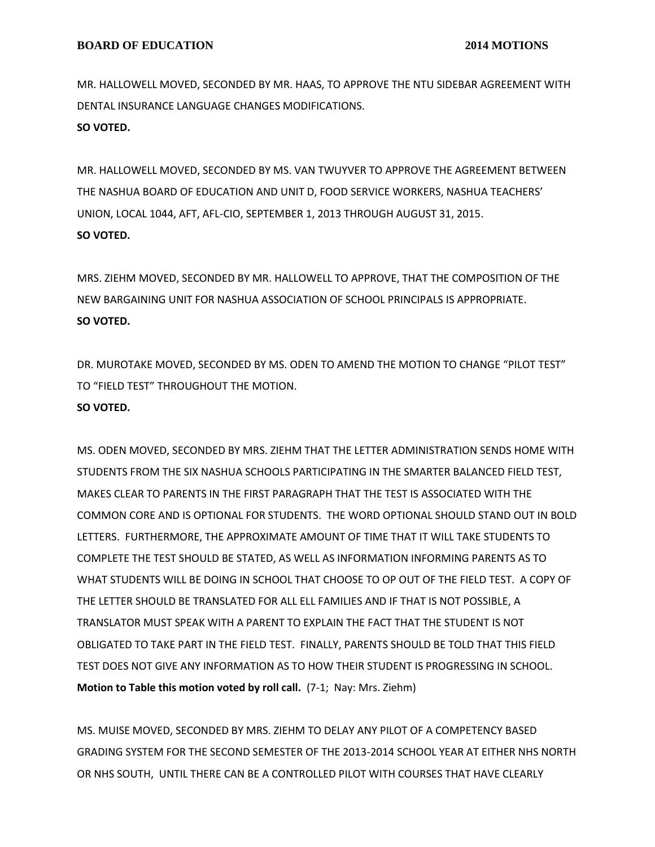MR. HALLOWELL MOVED, SECONDED BY MR. HAAS, TO APPROVE THE NTU SIDEBAR AGREEMENT WITH DENTAL INSURANCE LANGUAGE CHANGES MODIFICATIONS. **SO VOTED.**

MR. HALLOWELL MOVED, SECONDED BY MS. VAN TWUYVER TO APPROVE THE AGREEMENT BETWEEN THE NASHUA BOARD OF EDUCATION AND UNIT D, FOOD SERVICE WORKERS, NASHUA TEACHERS' UNION, LOCAL 1044, AFT, AFL-CIO, SEPTEMBER 1, 2013 THROUGH AUGUST 31, 2015. **SO VOTED.**

MRS. ZIEHM MOVED, SECONDED BY MR. HALLOWELL TO APPROVE, THAT THE COMPOSITION OF THE NEW BARGAINING UNIT FOR NASHUA ASSOCIATION OF SCHOOL PRINCIPALS IS APPROPRIATE. **SO VOTED.**

DR. MUROTAKE MOVED, SECONDED BY MS. ODEN TO AMEND THE MOTION TO CHANGE "PILOT TEST" TO "FIELD TEST" THROUGHOUT THE MOTION.

# **SO VOTED.**

MS. ODEN MOVED, SECONDED BY MRS. ZIEHM THAT THE LETTER ADMINISTRATION SENDS HOME WITH STUDENTS FROM THE SIX NASHUA SCHOOLS PARTICIPATING IN THE SMARTER BALANCED FIELD TEST, MAKES CLEAR TO PARENTS IN THE FIRST PARAGRAPH THAT THE TEST IS ASSOCIATED WITH THE COMMON CORE AND IS OPTIONAL FOR STUDENTS. THE WORD OPTIONAL SHOULD STAND OUT IN BOLD LETTERS. FURTHERMORE, THE APPROXIMATE AMOUNT OF TIME THAT IT WILL TAKE STUDENTS TO COMPLETE THE TEST SHOULD BE STATED, AS WELL AS INFORMATION INFORMING PARENTS AS TO WHAT STUDENTS WILL BE DOING IN SCHOOL THAT CHOOSE TO OP OUT OF THE FIELD TEST. A COPY OF THE LETTER SHOULD BE TRANSLATED FOR ALL ELL FAMILIES AND IF THAT IS NOT POSSIBLE, A TRANSLATOR MUST SPEAK WITH A PARENT TO EXPLAIN THE FACT THAT THE STUDENT IS NOT OBLIGATED TO TAKE PART IN THE FIELD TEST. FINALLY, PARENTS SHOULD BE TOLD THAT THIS FIELD TEST DOES NOT GIVE ANY INFORMATION AS TO HOW THEIR STUDENT IS PROGRESSING IN SCHOOL. **Motion to Table this motion voted by roll call.** (7-1; Nay: Mrs. Ziehm)

MS. MUISE MOVED, SECONDED BY MRS. ZIEHM TO DELAY ANY PILOT OF A COMPETENCY BASED GRADING SYSTEM FOR THE SECOND SEMESTER OF THE 2013-2014 SCHOOL YEAR AT EITHER NHS NORTH OR NHS SOUTH, UNTIL THERE CAN BE A CONTROLLED PILOT WITH COURSES THAT HAVE CLEARLY